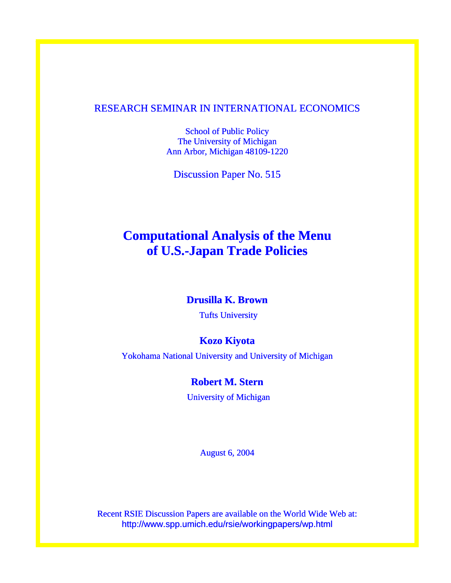# RESEARCH SEMINAR IN INTERNATIONAL ECONOMICS

School of Public Policy The University of Michigan Ann Arbor, Michigan 48109-1220

Discussion Paper No. 515

# **Computational Analysis of the Menu of U.S.-Japan Trade Policies**

# **Drusilla K. Brown**

Tufts University

# **Kozo Kiyota**

Yokohama National University and University of Michigan

# **Robert M. Stern**

University of Michigan

August 6, 2004

Recent RSIE Discussion Papers are available on the World Wide Web at: http://www.spp.umich.edu/rsie/workingpapers/wp.html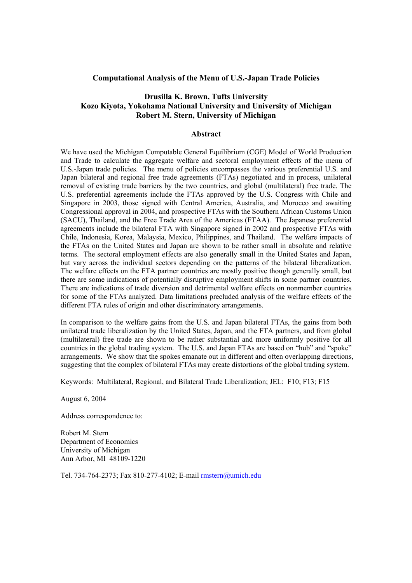# **Computational Analysis of the Menu of U.S.-Japan Trade Policies**

# **Drusilla K. Brown, Tufts University Kozo Kiyota, Yokohama National University and University of Michigan Robert M. Stern, University of Michigan**

#### **Abstract**

We have used the Michigan Computable General Equilibrium (CGE) Model of World Production and Trade to calculate the aggregate welfare and sectoral employment effects of the menu of U.S.-Japan trade policies. The menu of policies encompasses the various preferential U.S. and Japan bilateral and regional free trade agreements (FTAs) negotiated and in process, unilateral removal of existing trade barriers by the two countries, and global (multilateral) free trade. The U.S. preferential agreements include the FTAs approved by the U.S. Congress with Chile and Singapore in 2003, those signed with Central America, Australia, and Morocco and awaiting Congressional approval in 2004, and prospective FTAs with the Southern African Customs Union (SACU), Thailand, and the Free Trade Area of the Americas (FTAA). The Japanese preferential agreements include the bilateral FTA with Singapore signed in 2002 and prospective FTAs with Chile, Indonesia, Korea, Malaysia, Mexico, Philippines, and Thailand. The welfare impacts of the FTAs on the United States and Japan are shown to be rather small in absolute and relative terms. The sectoral employment effects are also generally small in the United States and Japan, but vary across the individual sectors depending on the patterns of the bilateral liberalization. The welfare effects on the FTA partner countries are mostly positive though generally small, but there are some indications of potentially disruptive employment shifts in some partner countries. There are indications of trade diversion and detrimental welfare effects on nonmember countries for some of the FTAs analyzed. Data limitations precluded analysis of the welfare effects of the different FTA rules of origin and other discriminatory arrangements.

In comparison to the welfare gains from the U.S. and Japan bilateral FTAs, the gains from both unilateral trade liberalization by the United States, Japan, and the FTA partners, and from global (multilateral) free trade are shown to be rather substantial and more uniformly positive for all countries in the global trading system. The U.S. and Japan FTAs are based on "hub" and "spoke" arrangements. We show that the spokes emanate out in different and often overlapping directions, suggesting that the complex of bilateral FTAs may create distortions of the global trading system.

Keywords: Multilateral, Regional, and Bilateral Trade Liberalization; JEL: F10; F13; F15

August 6, 2004

Address correspondence to:

Robert M. Stern Department of Economics University of Michigan Ann Arbor, MI 48109-1220

Tel. 734-764-2373; Fax 810-277-4102; E-mail rmstern@umich.edu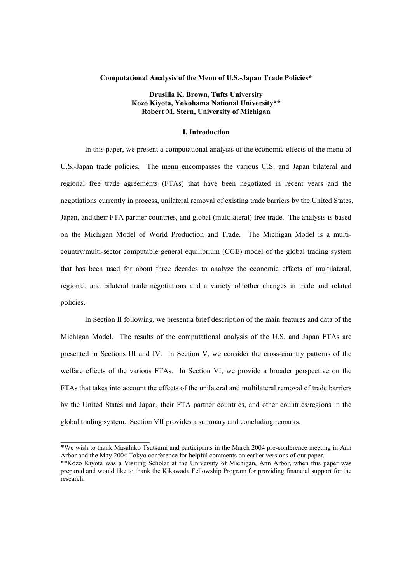#### **Computational Analysis of the Menu of U.S.-Japan Trade Policies\***

### **Drusilla K. Brown, Tufts University Kozo Kiyota, Yokohama National University\*\* Robert M. Stern, University of Michigan**

### **I. Introduction**

In this paper, we present a computational analysis of the economic effects of the menu of U.S.-Japan trade policies. The menu encompasses the various U.S. and Japan bilateral and regional free trade agreements (FTAs) that have been negotiated in recent years and the negotiations currently in process, unilateral removal of existing trade barriers by the United States, Japan, and their FTA partner countries, and global (multilateral) free trade. The analysis is based on the Michigan Model of World Production and Trade. The Michigan Model is a multicountry/multi-sector computable general equilibrium (CGE) model of the global trading system that has been used for about three decades to analyze the economic effects of multilateral, regional, and bilateral trade negotiations and a variety of other changes in trade and related policies.

In Section II following, we present a brief description of the main features and data of the Michigan Model. The results of the computational analysis of the U.S. and Japan FTAs are presented in Sections III and IV. In Section V, we consider the cross-country patterns of the welfare effects of the various FTAs. In Section VI, we provide a broader perspective on the FTAs that takes into account the effects of the unilateral and multilateral removal of trade barriers by the United States and Japan, their FTA partner countries, and other countries/regions in the global trading system. Section VII provides a summary and concluding remarks.

 $\mathcal{L}=\mathcal{L}^{\mathcal{L}}$  , where  $\mathcal{L}^{\mathcal{L}}$  , we have the set of the set of the set of the set of the set of the set of the set of the set of the set of the set of the set of the set of the set of the set of the set of

<sup>\*</sup>We wish to thank Masahiko Tsutsumi and participants in the March 2004 pre-conference meeting in Ann Arbor and the May 2004 Tokyo conference for helpful comments on earlier versions of our paper.

<sup>\*\*</sup>Kozo Kiyota was a Visiting Scholar at the University of Michigan, Ann Arbor, when this paper was prepared and would like to thank the Kikawada Fellowship Program for providing financial support for the research.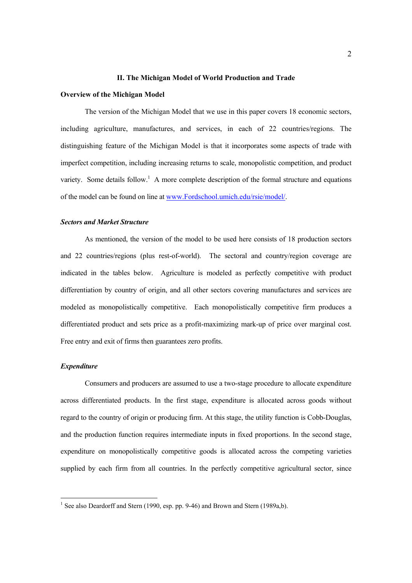#### **II. The Michigan Model of World Production and Trade**

### **Overview of the Michigan Model**

 The version of the Michigan Model that we use in this paper covers 18 economic sectors, including agriculture, manufactures, and services, in each of 22 countries/regions. The distinguishing feature of the Michigan Model is that it incorporates some aspects of trade with imperfect competition, including increasing returns to scale, monopolistic competition, and product variety. Some details follow.<sup>1</sup> A more complete description of the formal structure and equations of the model can be found on line at www.Fordschool.umich.edu/rsie/model/.

#### *Sectors and Market Structure*

 As mentioned, the version of the model to be used here consists of 18 production sectors and 22 countries/regions (plus rest-of-world). The sectoral and country/region coverage are indicated in the tables below. Agriculture is modeled as perfectly competitive with product differentiation by country of origin, and all other sectors covering manufactures and services are modeled as monopolistically competitive. Each monopolistically competitive firm produces a differentiated product and sets price as a profit-maximizing mark-up of price over marginal cost. Free entry and exit of firms then guarantees zero profits.

#### *Expenditure*

 $\overline{a}$ 

 Consumers and producers are assumed to use a two-stage procedure to allocate expenditure across differentiated products. In the first stage, expenditure is allocated across goods without regard to the country of origin or producing firm. At this stage, the utility function is Cobb-Douglas, and the production function requires intermediate inputs in fixed proportions. In the second stage, expenditure on monopolistically competitive goods is allocated across the competing varieties supplied by each firm from all countries. In the perfectly competitive agricultural sector, since

<sup>&</sup>lt;sup>1</sup> See also Deardorff and Stern (1990, esp. pp. 9-46) and Brown and Stern (1989a,b).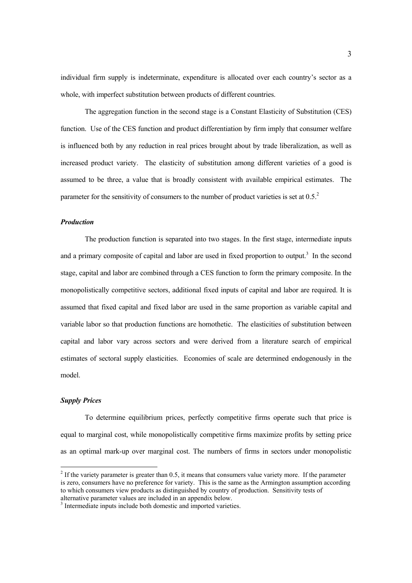individual firm supply is indeterminate, expenditure is allocated over each country's sector as a whole, with imperfect substitution between products of different countries.

 The aggregation function in the second stage is a Constant Elasticity of Substitution (CES) function. Use of the CES function and product differentiation by firm imply that consumer welfare is influenced both by any reduction in real prices brought about by trade liberalization, as well as increased product variety. The elasticity of substitution among different varieties of a good is assumed to be three, a value that is broadly consistent with available empirical estimates. The parameter for the sensitivity of consumers to the number of product varieties is set at  $0.5<sup>2</sup>$ 

#### *Production*

 The production function is separated into two stages. In the first stage, intermediate inputs and a primary composite of capital and labor are used in fixed proportion to output.<sup>3</sup> In the second stage, capital and labor are combined through a CES function to form the primary composite. In the monopolistically competitive sectors, additional fixed inputs of capital and labor are required. It is assumed that fixed capital and fixed labor are used in the same proportion as variable capital and variable labor so that production functions are homothetic. The elasticities of substitution between capital and labor vary across sectors and were derived from a literature search of empirical estimates of sectoral supply elasticities. Economies of scale are determined endogenously in the model.

### *Supply Prices*

 $\overline{a}$ 

 To determine equilibrium prices, perfectly competitive firms operate such that price is equal to marginal cost, while monopolistically competitive firms maximize profits by setting price as an optimal mark-up over marginal cost. The numbers of firms in sectors under monopolistic

<sup>&</sup>lt;sup>2</sup> If the variety parameter is greater than 0.5, it means that consumers value variety more. If the parameter is zero, consumers have no preference for variety. This is the same as the Armington assumption according to which consumers view products as distinguished by country of production. Sensitivity tests of alternative parameter values are included in an appendix below.

<sup>&</sup>lt;sup>3</sup> Intermediate inputs include both domestic and imported varieties.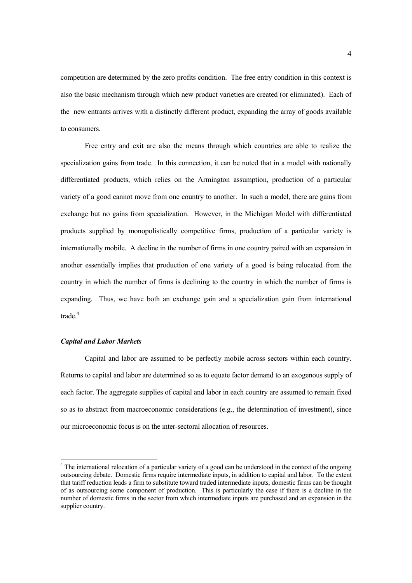competition are determined by the zero profits condition. The free entry condition in this context is also the basic mechanism through which new product varieties are created (or eliminated). Each of the new entrants arrives with a distinctly different product, expanding the array of goods available to consumers.

 Free entry and exit are also the means through which countries are able to realize the specialization gains from trade. In this connection, it can be noted that in a model with nationally differentiated products, which relies on the Armington assumption, production of a particular variety of a good cannot move from one country to another. In such a model, there are gains from exchange but no gains from specialization. However, in the Michigan Model with differentiated products supplied by monopolistically competitive firms, production of a particular variety is internationally mobile. A decline in the number of firms in one country paired with an expansion in another essentially implies that production of one variety of a good is being relocated from the country in which the number of firms is declining to the country in which the number of firms is expanding. Thus, we have both an exchange gain and a specialization gain from international trade $4$ 

# *Capital and Labor Markets*

 $\overline{a}$ 

 Capital and labor are assumed to be perfectly mobile across sectors within each country. Returns to capital and labor are determined so as to equate factor demand to an exogenous supply of each factor. The aggregate supplies of capital and labor in each country are assumed to remain fixed so as to abstract from macroeconomic considerations (e.g., the determination of investment), since our microeconomic focus is on the inter-sectoral allocation of resources.

<sup>&</sup>lt;sup>4</sup> The international relocation of a particular variety of a good can be understood in the context of the ongoing outsourcing debate. Domestic firms require intermediate inputs, in addition to capital and labor. To the extent that tariff reduction leads a firm to substitute toward traded intermediate inputs, domestic firms can be thought of as outsourcing some component of production. This is particularly the case if there is a decline in the number of domestic firms in the sector from which intermediate inputs are purchased and an expansion in the supplier country.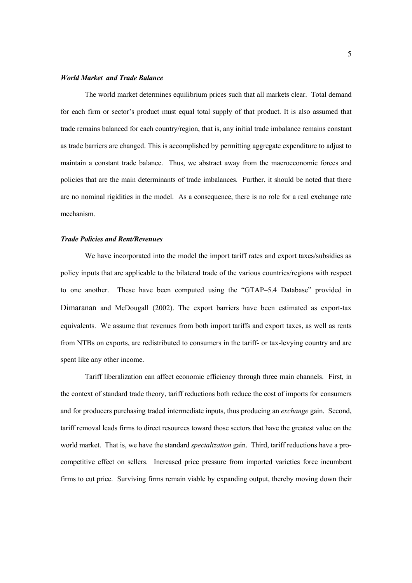#### *World Market and Trade Balance*

 The world market determines equilibrium prices such that all markets clear. Total demand for each firm or sector's product must equal total supply of that product. It is also assumed that trade remains balanced for each country/region, that is, any initial trade imbalance remains constant as trade barriers are changed. This is accomplished by permitting aggregate expenditure to adjust to maintain a constant trade balance. Thus, we abstract away from the macroeconomic forces and policies that are the main determinants of trade imbalances. Further, it should be noted that there are no nominal rigidities in the model. As a consequence, there is no role for a real exchange rate mechanism.

### *Trade Policies and Rent/Revenues*

We have incorporated into the model the import tariff rates and export taxes/subsidies as policy inputs that are applicable to the bilateral trade of the various countries/regions with respect to one another. These have been computed using the "GTAP-5.4 Database" provided in Dimaranan and McDougall (2002). The export barriers have been estimated as export-tax equivalents. We assume that revenues from both import tariffs and export taxes, as well as rents from NTBs on exports, are redistributed to consumers in the tariff- or tax-levying country and are spent like any other income.

 Tariff liberalization can affect economic efficiency through three main channels. First, in the context of standard trade theory, tariff reductions both reduce the cost of imports for consumers and for producers purchasing traded intermediate inputs, thus producing an *exchange* gain. Second, tariff removal leads firms to direct resources toward those sectors that have the greatest value on the world market. That is, we have the standard *specialization* gain. Third, tariff reductions have a procompetitive effect on sellers. Increased price pressure from imported varieties force incumbent firms to cut price. Surviving firms remain viable by expanding output, thereby moving down their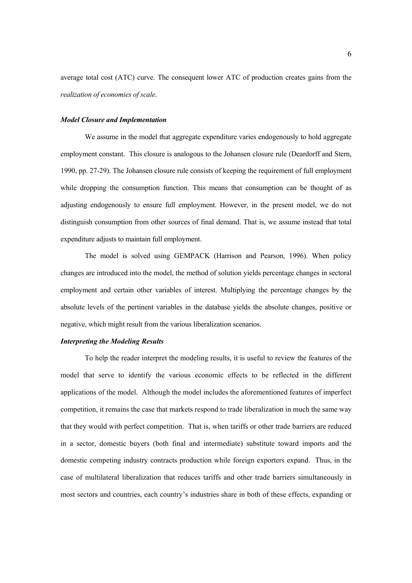average total cost (ATC) curve. The consequent lower ATC of production creates gains from the *realization of economies of scale*.

#### *Model Closure and Implementation*

 We assume in the model that aggregate expenditure varies endogenously to hold aggregate employment constant. This closure is analogous to the Johansen closure rule (Deardorff and Stern, 1990, pp. 27-29). The Johansen closure rule consists of keeping the requirement of full employment while dropping the consumption function. This means that consumption can be thought of as adjusting endogenously to ensure full employment. However, in the present model, we do not distinguish consumption from other sources of final demand. That is, we assume instead that total expenditure adjusts to maintain full employment.

 The model is solved using GEMPACK (Harrison and Pearson, 1996). When policy changes are introduced into the model, the method of solution yields percentage changes in sectoral employment and certain other variables of interest. Multiplying the percentage changes by the absolute levels of the pertinent variables in the database yields the absolute changes, positive or negative, which might result from the various liberalization scenarios.

#### *Interpreting the Modeling Results*

To help the reader interpret the modeling results, it is useful to review the features of the model that serve to identify the various economic effects to be reflected in the different applications of the model. Although the model includes the aforementioned features of imperfect competition, it remains the case that markets respond to trade liberalization in much the same way that they would with perfect competition. That is, when tariffs or other trade barriers are reduced in a sector, domestic buyers (both final and intermediate) substitute toward imports and the domestic competing industry contracts production while foreign exporters expand. Thus, in the case of multilateral liberalization that reduces tariffs and other trade barriers simultaneously in most sectors and countries, each country's industries share in both of these effects, expanding or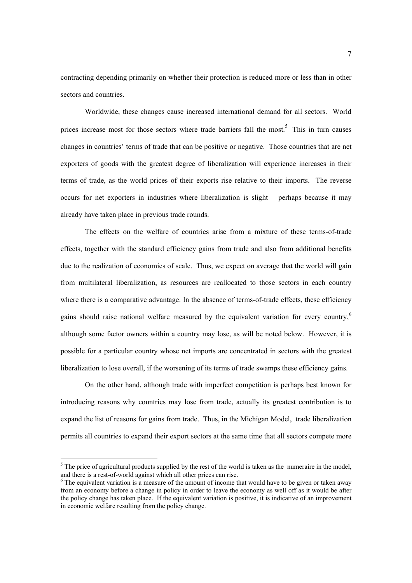contracting depending primarily on whether their protection is reduced more or less than in other sectors and countries.

 Worldwide, these changes cause increased international demand for all sectors. World prices increase most for those sectors where trade barriers fall the most.<sup>5</sup> This in turn causes changes in countries' terms of trade that can be positive or negative. Those countries that are net exporters of goods with the greatest degree of liberalization will experience increases in their terms of trade, as the world prices of their exports rise relative to their imports. The reverse occurs for net exporters in industries where liberalization is slight  $-$  perhaps because it may already have taken place in previous trade rounds.

 The effects on the welfare of countries arise from a mixture of these terms-of-trade effects, together with the standard efficiency gains from trade and also from additional benefits due to the realization of economies of scale. Thus, we expect on average that the world will gain from multilateral liberalization, as resources are reallocated to those sectors in each country where there is a comparative advantage. In the absence of terms-of-trade effects, these efficiency gains should raise national welfare measured by the equivalent variation for every country,<sup>6</sup> although some factor owners within a country may lose, as will be noted below. However, it is possible for a particular country whose net imports are concentrated in sectors with the greatest liberalization to lose overall, if the worsening of its terms of trade swamps these efficiency gains.

 On the other hand, although trade with imperfect competition is perhaps best known for introducing reasons why countries may lose from trade, actually its greatest contribution is to expand the list of reasons for gains from trade. Thus, in the Michigan Model, trade liberalization permits all countries to expand their export sectors at the same time that all sectors compete more

 $<sup>5</sup>$  The price of agricultural products supplied by the rest of the world is taken as the numeraire in the model,</sup> and there is a rest-of-world against which all other prices can rise.

 $6$  The equivalent variation is a measure of the amount of income that would have to be given or taken away from an economy before a change in policy in order to leave the economy as well off as it would be after the policy change has taken place. If the equivalent variation is positive, it is indicative of an improvement in economic welfare resulting from the policy change.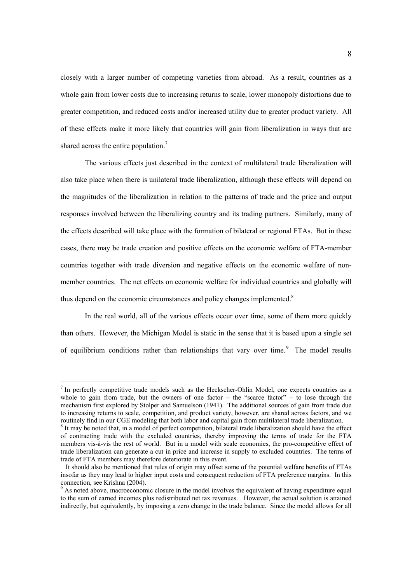closely with a larger number of competing varieties from abroad. As a result, countries as a whole gain from lower costs due to increasing returns to scale, lower monopoly distortions due to greater competition, and reduced costs and/or increased utility due to greater product variety. All of these effects make it more likely that countries will gain from liberalization in ways that are shared across the entire population.<sup>7</sup>

 The various effects just described in the context of multilateral trade liberalization will also take place when there is unilateral trade liberalization, although these effects will depend on the magnitudes of the liberalization in relation to the patterns of trade and the price and output responses involved between the liberalizing country and its trading partners. Similarly, many of the effects described will take place with the formation of bilateral or regional FTAs. But in these cases, there may be trade creation and positive effects on the economic welfare of FTA-member countries together with trade diversion and negative effects on the economic welfare of nonmember countries. The net effects on economic welfare for individual countries and globally will thus depend on the economic circumstances and policy changes implemented.<sup>8</sup>

In the real world, all of the various effects occur over time, some of them more quickly than others. However, the Michigan Model is static in the sense that it is based upon a single set of equilibrium conditions rather than relationships that vary over time.<sup>9</sup> The model results

 $<sup>7</sup>$  In perfectly competitive trade models such as the Heckscher-Ohlin Model, one expects countries as a</sup> whole to gain from trade, but the owners of one factor – the "scarce factor" – to lose through the mechanism first explored by Stolper and Samuelson (1941). The additional sources of gain from trade due to increasing returns to scale, competition, and product variety, however, are shared across factors, and we routinely find in our CGE modeling that both labor and capital gain from multilateral trade liberalization.

<sup>&</sup>lt;sup>8</sup> It may be noted that, in a model of perfect competition, bilateral trade liberalization should have the effect of contracting trade with the excluded countries, thereby improving the terms of trade for the FTA members vis-à-vis the rest of world. But in a model with scale economies, the pro-competitive effect of trade liberalization can generate a cut in price and increase in supply to excluded countries. The terms of trade of FTA members may therefore deteriorate in this event.

It should also be mentioned that rules of origin may offset some of the potential welfare benefits of FTAs insofar as they may lead to higher input costs and consequent reduction of FTA preference margins. In this connection, see Krishna (2004). 9 As noted above, macroeconomic closure in the model involves the equivalent of having expenditure equal

to the sum of earned incomes plus redistributed net tax revenues. However, the actual solution is attained indirectly, but equivalently, by imposing a zero change in the trade balance. Since the model allows for all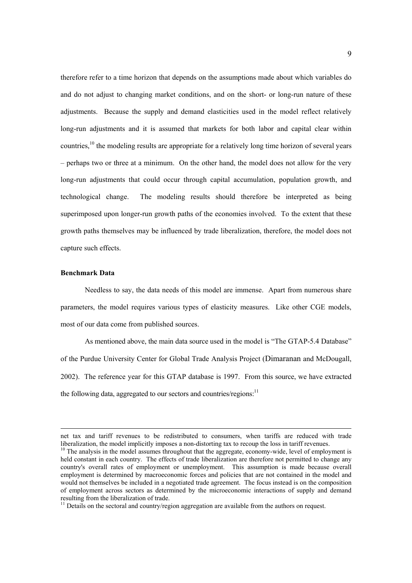therefore refer to a time horizon that depends on the assumptions made about which variables do and do not adjust to changing market conditions, and on the short- or long-run nature of these adjustments. Because the supply and demand elasticities used in the model reflect relatively long-run adjustments and it is assumed that markets for both labor and capital clear within countries,<sup>10</sup> the modeling results are appropriate for a relatively long time horizon of several years – perhaps two or three at a minimum. On the other hand, the model does not allow for the very long-run adjustments that could occur through capital accumulation, population growth, and technological change. The modeling results should therefore be interpreted as being superimposed upon longer-run growth paths of the economies involved. To the extent that these growth paths themselves may be influenced by trade liberalization, therefore, the model does not capture such effects.

### **Benchmark Data**

Needless to say, the data needs of this model are immense. Apart from numerous share parameters, the model requires various types of elasticity measures. Like other CGE models, most of our data come from published sources.

As mentioned above, the main data source used in the model is "The GTAP-5.4 Database" of the Purdue University Center for Global Trade Analysis Project (Dimaranan and McDougall, 2002). The reference year for this GTAP database is 1997. From this source, we have extracted the following data, aggregated to our sectors and countries/regions:  $11$ 

net tax and tariff revenues to be redistributed to consumers, when tariffs are reduced with trade liberalization, the model implicitly imposes a non-distorting tax to recoup the loss in tariff revenues.

<sup>&</sup>lt;sup>10</sup> The analysis in the model assumes throughout that the aggregate, economy-wide, level of employment is held constant in each country. The effects of trade liberalization are therefore not permitted to change any country's overall rates of employment or unemployment. This assumption is made because overall employment is determined by macroeconomic forces and policies that are not contained in the model and would not themselves be included in a negotiated trade agreement. The focus instead is on the composition of employment across sectors as determined by the microeconomic interactions of supply and demand resulting from the liberalization of trade.

 $11$  Details on the sectoral and country/region aggregation are available from the authors on request.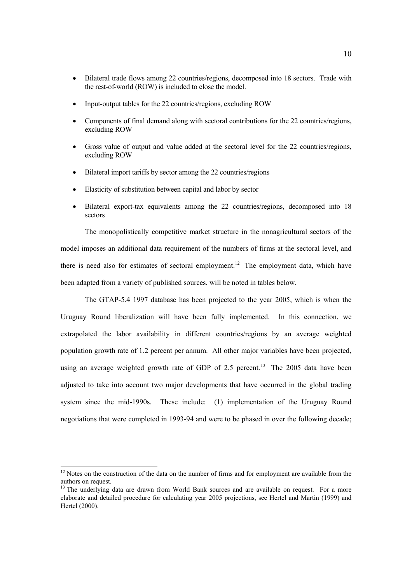- Bilateral trade flows among 22 countries/regions, decomposed into 18 sectors. Trade with the rest-of-world (ROW) is included to close the model.
- Input-output tables for the 22 countries/regions, excluding ROW
- Components of final demand along with sectoral contributions for the 22 countries/regions, excluding ROW
- Gross value of output and value added at the sectoral level for the 22 countries/regions, excluding ROW
- Bilateral import tariffs by sector among the 22 countries/regions
- Elasticity of substitution between capital and labor by sector
- Bilateral export-tax equivalents among the 22 countries/regions, decomposed into 18 sectors

The monopolistically competitive market structure in the nonagricultural sectors of the model imposes an additional data requirement of the numbers of firms at the sectoral level, and there is need also for estimates of sectoral employment.<sup>12</sup> The employment data, which have been adapted from a variety of published sources, will be noted in tables below.

 The GTAP-5.4 1997 database has been projected to the year 2005, which is when the Uruguay Round liberalization will have been fully implemented. In this connection, we extrapolated the labor availability in different countries/regions by an average weighted population growth rate of 1.2 percent per annum. All other major variables have been projected, using an average weighted growth rate of GDP of 2.5 percent.<sup>13</sup> The 2005 data have been adjusted to take into account two major developments that have occurred in the global trading system since the mid-1990s. These include: (1) implementation of the Uruguay Round negotiations that were completed in 1993-94 and were to be phased in over the following decade;

 $\overline{a}$ 

 $12$  Notes on the construction of the data on the number of firms and for employment are available from the authors on request.

<sup>&</sup>lt;sup>13</sup> The underlying data are drawn from World Bank sources and are available on request. For a more elaborate and detailed procedure for calculating year 2005 projections, see Hertel and Martin (1999) and Hertel (2000).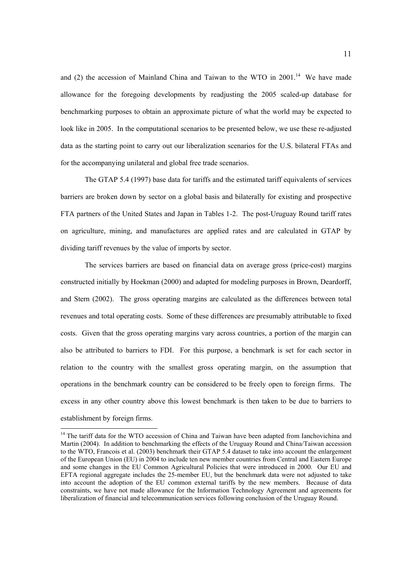and (2) the accession of Mainland China and Taiwan to the WTO in  $2001$ .<sup>14</sup> We have made allowance for the foregoing developments by readjusting the 2005 scaled-up database for benchmarking purposes to obtain an approximate picture of what the world may be expected to look like in 2005. In the computational scenarios to be presented below, we use these re-adjusted data as the starting point to carry out our liberalization scenarios for the U.S. bilateral FTAs and for the accompanying unilateral and global free trade scenarios.

 The GTAP 5.4 (1997) base data for tariffs and the estimated tariff equivalents of services barriers are broken down by sector on a global basis and bilaterally for existing and prospective FTA partners of the United States and Japan in Tables 1-2. The post-Uruguay Round tariff rates on agriculture, mining, and manufactures are applied rates and are calculated in GTAP by dividing tariff revenues by the value of imports by sector.

The services barriers are based on financial data on average gross (price-cost) margins constructed initially by Hoekman (2000) and adapted for modeling purposes in Brown, Deardorff, and Stern (2002). The gross operating margins are calculated as the differences between total revenues and total operating costs. Some of these differences are presumably attributable to fixed costs. Given that the gross operating margins vary across countries, a portion of the margin can also be attributed to barriers to FDI. For this purpose, a benchmark is set for each sector in relation to the country with the smallest gross operating margin, on the assumption that operations in the benchmark country can be considered to be freely open to foreign firms. The excess in any other country above this lowest benchmark is then taken to be due to barriers to establishment by foreign firms.

<sup>&</sup>lt;sup>14</sup> The tariff data for the WTO accession of China and Taiwan have been adapted from Ianchovichina and Martin (2004). In addition to benchmarking the effects of the Uruguay Round and China/Taiwan accession to the WTO, Francois et al. (2003) benchmark their GTAP 5.4 dataset to take into account the enlargement of the European Union (EU) in 2004 to include ten new member countries from Central and Eastern Europe and some changes in the EU Common Agricultural Policies that were introduced in 2000. Our EU and EFTA regional aggregate includes the 25-member EU, but the benchmark data were not adjusted to take into account the adoption of the EU common external tariffs by the new members. Because of data constraints, we have not made allowance for the Information Technology Agreement and agreements for liberalization of financial and telecommunication services following conclusion of the Uruguay Round.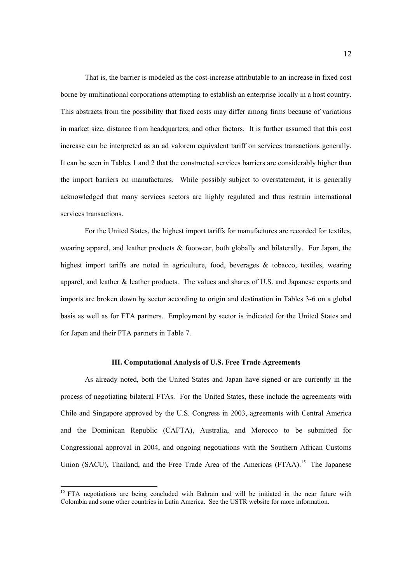That is, the barrier is modeled as the cost-increase attributable to an increase in fixed cost borne by multinational corporations attempting to establish an enterprise locally in a host country. This abstracts from the possibility that fixed costs may differ among firms because of variations in market size, distance from headquarters, and other factors. It is further assumed that this cost increase can be interpreted as an ad valorem equivalent tariff on services transactions generally. It can be seen in Tables 1 and 2 that the constructed services barriers are considerably higher than the import barriers on manufactures. While possibly subject to overstatement, it is generally acknowledged that many services sectors are highly regulated and thus restrain international services transactions.

For the United States, the highest import tariffs for manufactures are recorded for textiles, wearing apparel, and leather products & footwear, both globally and bilaterally. For Japan, the highest import tariffs are noted in agriculture, food, beverages & tobacco, textiles, wearing apparel, and leather & leather products. The values and shares of U.S. and Japanese exports and imports are broken down by sector according to origin and destination in Tables 3-6 on a global basis as well as for FTA partners. Employment by sector is indicated for the United States and for Japan and their FTA partners in Table 7.

### **III. Computational Analysis of U.S. Free Trade Agreements**

As already noted, both the United States and Japan have signed or are currently in the process of negotiating bilateral FTAs. For the United States, these include the agreements with Chile and Singapore approved by the U.S. Congress in 2003, agreements with Central America and the Dominican Republic (CAFTA), Australia, and Morocco to be submitted for Congressional approval in 2004, and ongoing negotiations with the Southern African Customs Union (SACU), Thailand, and the Free Trade Area of the Americas (FTAA).<sup>15</sup> The Japanese

l

<sup>&</sup>lt;sup>15</sup> FTA negotiations are being concluded with Bahrain and will be initiated in the near future with Colombia and some other countries in Latin America. See the USTR website for more information.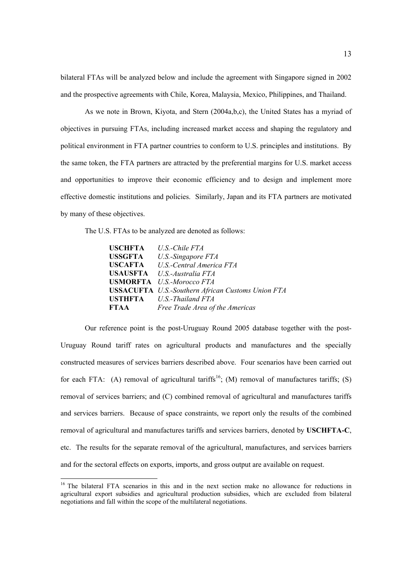bilateral FTAs will be analyzed below and include the agreement with Singapore signed in 2002 and the prospective agreements with Chile, Korea, Malaysia, Mexico, Philippines, and Thailand.

As we note in Brown, Kiyota, and Stern (2004a,b,c), the United States has a myriad of objectives in pursuing FTAs, including increased market access and shaping the regulatory and political environment in FTA partner countries to conform to U.S. principles and institutions. By the same token, the FTA partners are attracted by the preferential margins for U.S. market access and opportunities to improve their economic efficiency and to design and implement more effective domestic institutions and policies. Similarly, Japan and its FTA partners are motivated by many of these objectives.

The U.S. FTAs to be analyzed are denoted as follows:

|         | <b>USCHFTA U.S.-Chile FTA</b>                            |
|---------|----------------------------------------------------------|
| USSGFTA | U.S.-Singapore FTA                                       |
|         | <b>USCAFTA</b> U.S.-Central America FTA                  |
|         | <b>USAUSFTA</b> U.S.-Australia FTA                       |
|         | <b>USMORFTA</b> U.S.-Morocco FTA                         |
|         | <b>USSACUFTA</b> U.S.-Southern African Customs Union FTA |
|         | <b>USTHFTA</b> $U.S.-Thailand FTA$                       |
| FTAA    | Free Trade Area of the Americas                          |

 Our reference point is the post-Uruguay Round 2005 database together with the post-Uruguay Round tariff rates on agricultural products and manufactures and the specially constructed measures of services barriers described above. Four scenarios have been carried out for each FTA: (A) removal of agricultural tariffs<sup>16</sup>; (M) removal of manufactures tariffs; (S) removal of services barriers; and (C) combined removal of agricultural and manufactures tariffs and services barriers. Because of space constraints, we report only the results of the combined removal of agricultural and manufactures tariffs and services barriers, denoted by **USCHFTA-C**, etc. The results for the separate removal of the agricultural, manufactures, and services barriers and for the sectoral effects on exports, imports, and gross output are available on request.

 $\overline{a}$ 

<sup>&</sup>lt;sup>16</sup> The bilateral FTA scenarios in this and in the next section make no allowance for reductions in agricultural export subsidies and agricultural production subsidies, which are excluded from bilateral negotiations and fall within the scope of the multilateral negotiations.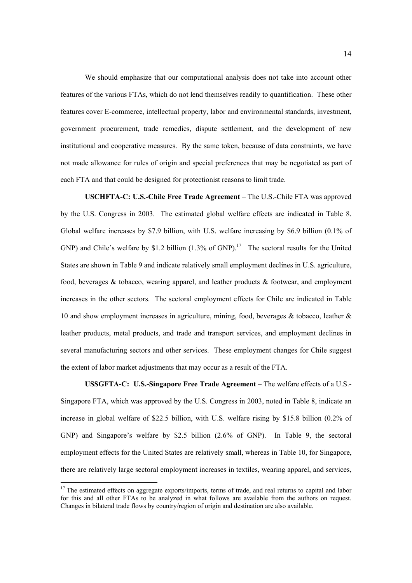We should emphasize that our computational analysis does not take into account other features of the various FTAs, which do not lend themselves readily to quantification. These other features cover E-commerce, intellectual property, labor and environmental standards, investment, government procurement, trade remedies, dispute settlement, and the development of new institutional and cooperative measures. By the same token, because of data constraints, we have not made allowance for rules of origin and special preferences that may be negotiated as part of each FTA and that could be designed for protectionist reasons to limit trade.

**USCHFTA-C: U.S.-Chile Free Trade Agreement** – The U.S.-Chile FTA was approved by the U.S. Congress in 2003. The estimated global welfare effects are indicated in Table 8. Global welfare increases by \$7.9 billion, with U.S. welfare increasing by \$6.9 billion (0.1% of GNP) and Chile's welfare by \$1.2 billion  $(1.3\% \text{ of GNP})$ .<sup>17</sup> The sectoral results for the United States are shown in Table 9 and indicate relatively small employment declines in U.S. agriculture, food, beverages  $\&$  tobacco, wearing apparel, and leather products  $\&$  footwear, and employment increases in the other sectors. The sectoral employment effects for Chile are indicated in Table 10 and show employment increases in agriculture, mining, food, beverages & tobacco, leather & leather products, metal products, and trade and transport services, and employment declines in several manufacturing sectors and other services. These employment changes for Chile suggest the extent of labor market adjustments that may occur as a result of the FTA.

 **USSGFTA-C: U.S.-Singapore Free Trade Agreement** – The welfare effects of a U.S.-Singapore FTA, which was approved by the U.S. Congress in 2003, noted in Table 8, indicate an increase in global welfare of \$22.5 billion, with U.S. welfare rising by \$15.8 billion (0.2% of GNP) and Singapore's welfare by \$2.5 billion (2.6% of GNP). In Table 9, the sectoral employment effects for the United States are relatively small, whereas in Table 10, for Singapore, there are relatively large sectoral employment increases in textiles, wearing apparel, and services,

 $17$  The estimated effects on aggregate exports/imports, terms of trade, and real returns to capital and labor for this and all other FTAs to be analyzed in what follows are available from the authors on request. Changes in bilateral trade flows by country/region of origin and destination are also available.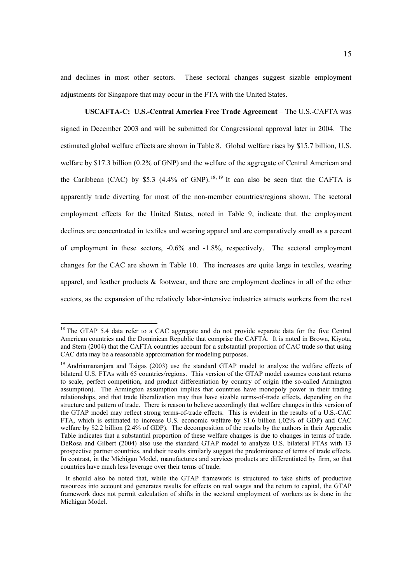and declines in most other sectors. These sectoral changes suggest sizable employment adjustments for Singapore that may occur in the FTA with the United States.

 **USCAFTA-C: U.S.-Central America Free Trade Agreement - The U.S.-CAFTA was** signed in December 2003 and will be submitted for Congressional approval later in 2004. The estimated global welfare effects are shown in Table 8. Global welfare rises by \$15.7 billion, U.S. welfare by \$17.3 billion (0.2% of GNP) and the welfare of the aggregate of Central American and the Caribbean (CAC) by \$5.3 (4.4% of GNP). <sup>18, 19</sup> It can also be seen that the CAFTA is apparently trade diverting for most of the non-member countries/regions shown. The sectoral employment effects for the United States, noted in Table 9, indicate that. the employment declines are concentrated in textiles and wearing apparel and are comparatively small as a percent of employment in these sectors, -0.6% and -1.8%, respectively. The sectoral employment changes for the CAC are shown in Table 10. The increases are quite large in textiles, wearing apparel, and leather products  $\&$  footwear, and there are employment declines in all of the other sectors, as the expansion of the relatively labor-intensive industries attracts workers from the rest

 $\overline{a}$ 

<sup>&</sup>lt;sup>18</sup> The GTAP 5.4 data refer to a CAC aggregate and do not provide separate data for the five Central American countries and the Dominican Republic that comprise the CAFTA. It is noted in Brown, Kiyota, and Stern (2004) that the CAFTA countries account for a substantial proportion of CAC trade so that using CAC data may be a reasonable approximation for modeling purposes.

<sup>&</sup>lt;sup>19</sup> Andriamananjara and Tsigas (2003) use the standard GTAP model to analyze the welfare effects of bilateral U.S. FTAs with 65 countries/regions. This version of the GTAP model assumes constant returns to scale, perfect competition, and product differentiation by country of origin (the so-called Armington assumption). The Armington assumption implies that countries have monopoly power in their trading relationships, and that trade liberalization may thus have sizable terms-of-trade effects, depending on the structure and pattern of trade. There is reason to believe accordingly that welfare changes in this version of the GTAP model may reflect strong terms-of-trade effects. This is evident in the results of a U.S.-CAC FTA, which is estimated to increase U.S. economic welfare by \$1.6 billion (.02% of GDP) and CAC welfare by \$2.2 billion (2.4% of GDP). The decomposition of the results by the authors in their Appendix Table indicates that a substantial proportion of these welfare changes is due to changes in terms of trade. DeRosa and Gilbert (2004) also use the standard GTAP model to analyze U.S. bilateral FTAs with 13 prospective partner countries, and their results similarly suggest the predominance of terms of trade effects. In contrast, in the Michigan Model, manufactures and services products are differentiated by firm, so that countries have much less leverage over their terms of trade.

It should also be noted that, while the GTAP framework is structured to take shifts of productive resources into account and generates results for effects on real wages and the return to capital, the GTAP framework does not permit calculation of shifts in the sectoral employment of workers as is done in the Michigan Model.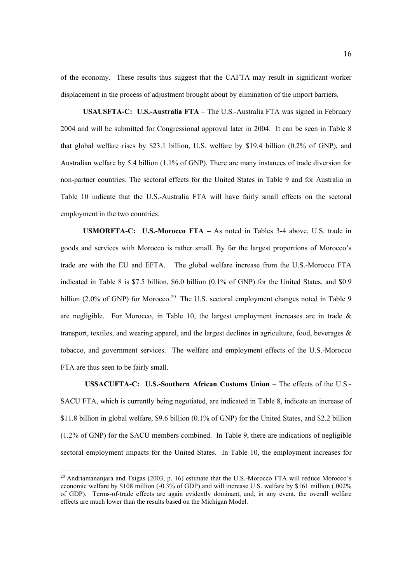of the economy. These results thus suggest that the CAFTA may result in significant worker displacement in the process of adjustment brought about by elimination of the import barriers.

**USAUSFTA-C: U.S.-Australia FTA** – The U.S.-Australia FTA was signed in February 2004 and will be submitted for Congressional approval later in 2004. It can be seen in Table 8 that global welfare rises by \$23.1 billion, U.S. welfare by \$19.4 billion (0.2% of GNP), and Australian welfare by 5.4 billion (1.1% of GNP). There are many instances of trade diversion for non-partner countries. The sectoral effects for the United States in Table 9 and for Australia in Table 10 indicate that the U.S.-Australia FTA will have fairly small effects on the sectoral employment in the two countries.

**USMORFTA-C:** U.S.-Morocco FTA – As noted in Tables 3-4 above, U.S. trade in goods and services with Morocco is rather small. By far the largest proportions of Morocco's trade are with the EU and EFTA. The global welfare increase from the U.S.-Morocco FTA indicated in Table 8 is \$7.5 billion, \$6.0 billion (0.1% of GNP) for the United States, and \$0.9 billion (2.0% of GNP) for Morocco.<sup>20</sup> The U.S. sectoral employment changes noted in Table 9 are negligible. For Morocco, in Table 10, the largest employment increases are in trade  $\&$ transport, textiles, and wearing apparel, and the largest declines in agriculture, food, beverages  $\&$ tobacco, and government services. The welfare and employment effects of the U.S.-Morocco FTA are thus seen to be fairly small.

**USSACUFTA-C:** U.S.-Southern African Customs Union – The effects of the U.S.-SACU FTA, which is currently being negotiated, are indicated in Table 8, indicate an increase of \$11.8 billion in global welfare, \$9.6 billion (0.1% of GNP) for the United States, and \$2.2 billion (1.2% of GNP) for the SACU members combined. In Table 9, there are indications of negligible sectoral employment impacts for the United States. In Table 10, the employment increases for

 $\overline{a}$ 

 $20$  Andriamananjara and Tsigas (2003, p. 16) estimate that the U.S.-Morocco FTA will reduce Morocco's economic welfare by \$108 million (-0.3% of GDP) and will increase U.S. welfare by \$161 million (.002% of GDP). Terms-of-trade effects are again evidently dominant, and, in any event, the overall welfare effects are much lower than the results based on the Michigan Model.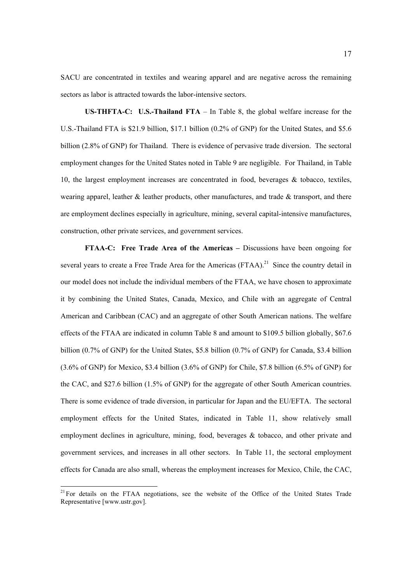SACU are concentrated in textiles and wearing apparel and are negative across the remaining sectors as labor is attracted towards the labor-intensive sectors.

**US-THFTA-C: U.S.-Thailand FTA**  $-$  In Table 8, the global welfare increase for the U.S.-Thailand FTA is \$21.9 billion, \$17.1 billion (0.2% of GNP) for the United States, and \$5.6 billion (2.8% of GNP) for Thailand. There is evidence of pervasive trade diversion. The sectoral employment changes for the United States noted in Table 9 are negligible. For Thailand, in Table 10, the largest employment increases are concentrated in food, beverages & tobacco, textiles, wearing apparel, leather  $\&$  leather products, other manufactures, and trade  $\&$  transport, and there are employment declines especially in agriculture, mining, several capital-intensive manufactures, construction, other private services, and government services.

**FTAA-C:** Free Trade Area of the Americas – Discussions have been ongoing for several years to create a Free Trade Area for the Americas  $(FTAA)^{21}$  Since the country detail in our model does not include the individual members of the FTAA, we have chosen to approximate it by combining the United States, Canada, Mexico, and Chile with an aggregate of Central American and Caribbean (CAC) and an aggregate of other South American nations. The welfare effects of the FTAA are indicated in column Table 8 and amount to \$109.5 billion globally, \$67.6 billion (0.7% of GNP) for the United States, \$5.8 billion (0.7% of GNP) for Canada, \$3.4 billion (3.6% of GNP) for Mexico, \$3.4 billion (3.6% of GNP) for Chile, \$7.8 billion (6.5% of GNP) for the CAC, and \$27.6 billion (1.5% of GNP) for the aggregate of other South American countries. There is some evidence of trade diversion, in particular for Japan and the EU/EFTA. The sectoral employment effects for the United States, indicated in Table 11, show relatively small employment declines in agriculture, mining, food, beverages  $\&$  tobacco, and other private and government services, and increases in all other sectors. In Table 11, the sectoral employment effects for Canada are also small, whereas the employment increases for Mexico, Chile, the CAC,

l

<sup>&</sup>lt;sup>21</sup> For details on the FTAA negotiations, see the website of the Office of the United States Trade Representative [www.ustr.gov].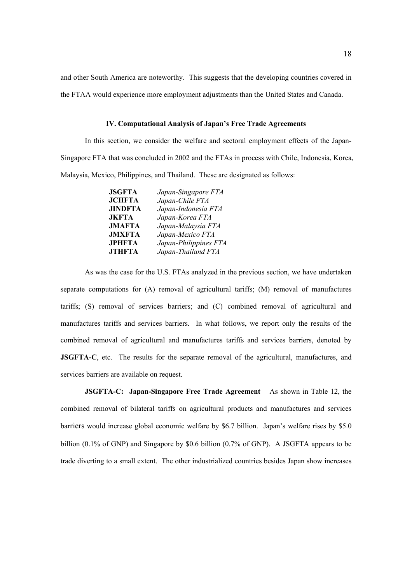and other South America are noteworthy. This suggests that the developing countries covered in the FTAA would experience more employment adjustments than the United States and Canada.

#### **IV. Computational Analysis of Japan's Free Trade Agreements**

 In this section, we consider the welfare and sectoral employment effects of the Japan-Singapore FTA that was concluded in 2002 and the FTAs in process with Chile, Indonesia, Korea, Malaysia, Mexico, Philippines, and Thailand. These are designated as follows:

| <b>JSGFTA</b>  | Japan-Singapore FTA   |
|----------------|-----------------------|
| <b>JCHFTA</b>  | Japan-Chile FTA       |
| <b>JINDFTA</b> | Japan-Indonesia FTA   |
| <b>JKFTA</b>   | Japan-Korea FTA       |
| <b>JMAFTA</b>  | Japan-Malaysia FTA    |
| <b>JMXFTA</b>  | Japan-Mexico FTA      |
| <b>JPHFTA</b>  | Japan-Philippines FTA |
| <b>JTHFTA</b>  | Japan-Thailand FTA    |

 As was the case for the U.S. FTAs analyzed in the previous section, we have undertaken separate computations for (A) removal of agricultural tariffs; (M) removal of manufactures tariffs; (S) removal of services barriers; and (C) combined removal of agricultural and manufactures tariffs and services barriers. In what follows, we report only the results of the combined removal of agricultural and manufactures tariffs and services barriers, denoted by **JSGFTA-C**, etc. The results for the separate removal of the agricultural, manufactures, and services barriers are available on request.

 **JSGFTA-C:** Japan-Singapore Free Trade Agreement - As shown in Table 12, the combined removal of bilateral tariffs on agricultural products and manufactures and services barriers would increase global economic welfare by \$6.7 billion. Japan's welfare rises by \$5.0 billion (0.1% of GNP) and Singapore by \$0.6 billion (0.7% of GNP). A JSGFTA appears to be trade diverting to a small extent. The other industrialized countries besides Japan show increases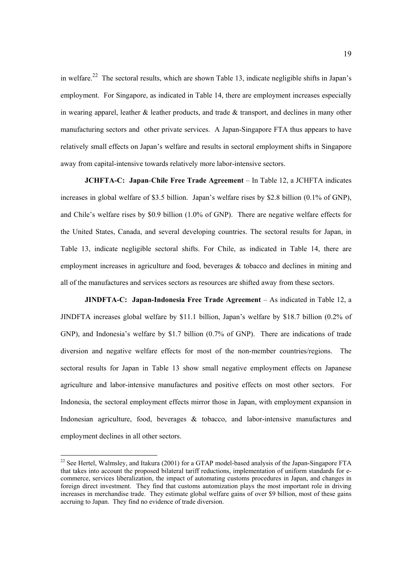in welfare.<sup>22</sup> The sectoral results, which are shown Table 13, indicate negligible shifts in Japan's employment. For Singapore, as indicated in Table 14, there are employment increases especially in wearing apparel, leather  $\&$  leather products, and trade  $\&$  transport, and declines in many other manufacturing sectors and other private services. A Japan-Singapore FTA thus appears to have relatively small effects on Japan's welfare and results in sectoral employment shifts in Singapore away from capital-intensive towards relatively more labor-intensive sectors.

**JCHFTA-C: Japan-Chile Free Trade Agreement – In Table 12, a JCHFTA indicates** increases in global welfare of \$3.5 billion. Japan's welfare rises by \$2.8 billion (0.1% of GNP), and Chile's welfare rises by \$0.9 billion  $(1.0\% \text{ of GNP})$ . There are negative welfare effects for the United States, Canada, and several developing countries. The sectoral results for Japan, in Table 13, indicate negligible sectoral shifts. For Chile, as indicated in Table 14, there are employment increases in agriculture and food, beverages & tobacco and declines in mining and all of the manufactures and services sectors as resources are shifted away from these sectors.

**JINDFTA-C: Japan-Indonesia Free Trade Agreement** – As indicated in Table 12, a JINDFTA increases global welfare by \$11.1 billion, Japanís welfare by \$18.7 billion (0.2% of GNP), and Indonesia's welfare by \$1.7 billion (0.7% of GNP). There are indications of trade diversion and negative welfare effects for most of the non-member countries/regions. The sectoral results for Japan in Table 13 show small negative employment effects on Japanese agriculture and labor-intensive manufactures and positive effects on most other sectors. For Indonesia, the sectoral employment effects mirror those in Japan, with employment expansion in Indonesian agriculture, food, beverages & tobacco, and labor-intensive manufactures and employment declines in all other sectors.

 $22$  See Hertel, Walmsley, and Itakura (2001) for a GTAP model-based analysis of the Japan-Singapore FTA that takes into account the proposed bilateral tariff reductions, implementation of uniform standards for ecommerce, services liberalization, the impact of automating customs procedures in Japan, and changes in foreign direct investment. They find that customs automization plays the most important role in driving increases in merchandise trade. They estimate global welfare gains of over \$9 billion, most of these gains accruing to Japan. They find no evidence of trade diversion.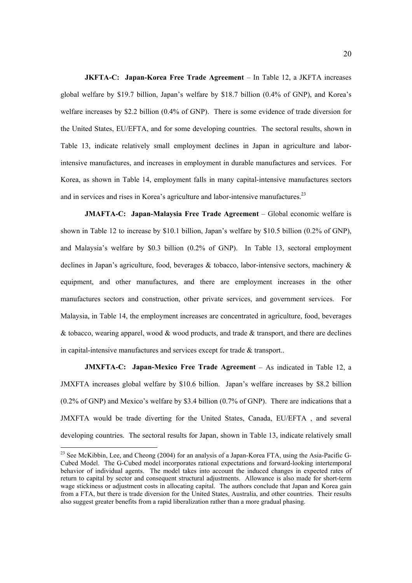**JKFTA-C: Japan-Korea Free Trade Agreement** – In Table 12, a JKFTA increases global welfare by \$19.7 billion, Japan's welfare by \$18.7 billion (0.4% of GNP), and Korea's welfare increases by \$2.2 billion (0.4% of GNP). There is some evidence of trade diversion for the United States, EU/EFTA, and for some developing countries. The sectoral results, shown in Table 13, indicate relatively small employment declines in Japan in agriculture and laborintensive manufactures, and increases in employment in durable manufactures and services. For Korea, as shown in Table 14, employment falls in many capital-intensive manufactures sectors and in services and rises in Korea's agriculture and labor-intensive manufactures.<sup>23</sup>

**JMAFTA-C:** Japan-Malaysia Free Trade Agreement – Global economic welfare is shown in Table 12 to increase by \$10.1 billion, Japan's welfare by \$10.5 billion (0.2% of GNP), and Malaysia's welfare by \$0.3 billion (0.2% of GNP). In Table 13, sectoral employment declines in Japan's agriculture, food, beverages  $\&$  tobacco, labor-intensive sectors, machinery  $\&$ equipment, and other manufactures, and there are employment increases in the other manufactures sectors and construction, other private services, and government services. For Malaysia, in Table 14, the employment increases are concentrated in agriculture, food, beverages & tobacco, wearing apparel, wood & wood products, and trade  $\&$  transport, and there are declines in capital-intensive manufactures and services except for trade & transport..

**JMXFTA-C:** Japan-Mexico Free Trade Agreement – As indicated in Table 12, a JMXFTA increases global welfare by \$10.6 billion. Japan's welfare increases by \$8.2 billion  $(0.2\%$  of GNP) and Mexico's welfare by \$3.4 billion  $(0.7\%$  of GNP). There are indications that a JMXFTA would be trade diverting for the United States, Canada, EU/EFTA , and several developing countries. The sectoral results for Japan, shown in Table 13, indicate relatively small

<sup>&</sup>lt;sup>23</sup> See McKibbin, Lee, and Cheong (2004) for an analysis of a Japan-Korea FTA, using the Asia-Pacific G-Cubed Model. The G-Cubed model incorporates rational expectations and forward-looking intertemporal behavior of individual agents. The model takes into account the induced changes in expected rates of return to capital by sector and consequent structural adjustments. Allowance is also made for short-term wage stickiness or adjustment costs in allocating capital. The authors conclude that Japan and Korea gain from a FTA, but there is trade diversion for the United States, Australia, and other countries. Their results also suggest greater benefits from a rapid liberalization rather than a more gradual phasing.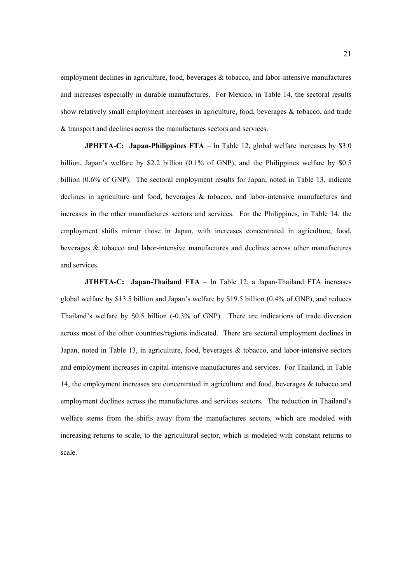employment declines in agriculture, food, beverages  $\&$  tobacco, and labor-intensive manufactures and increases especially in durable manufactures. For Mexico, in Table 14, the sectoral results show relatively small employment increases in agriculture, food, beverages & tobacco, and trade & transport and declines across the manufactures sectors and services.

**JPHFTA-C:** Japan-Philippines  $FTA - In$  Table 12, global welfare increases by \$3.0 billion, Japan's welfare by \$2.2 billion  $(0.1\% \text{ of GNP})$ , and the Philippines welfare by \$0.5 billion (0.6% of GNP). The sectoral employment results for Japan, noted in Table 13, indicate declines in agriculture and food, beverages & tobacco, and labor-intensive manufactures and increases in the other manufactures sectors and services. For the Philippines, in Table 14, the employment shifts mirror those in Japan, with increases concentrated in agriculture, food, beverages & tobacco and labor-intensive manufactures and declines across other manufactures and services.

**JTHFTA-C:** Japan-Thailand FTA – In Table 12, a Japan-Thailand FTA increases global welfare by \$13.5 billion and Japan's welfare by \$19.5 billion (0.4% of GNP), and reduces Thailand's welfare by  $$0.5$  billion  $(-0.3\%$  of GNP). There are indications of trade diversion across most of the other countries/regions indicated. There are sectoral employment declines in Japan, noted in Table 13, in agriculture, food, beverages & tobacco, and labor-intensive sectors and employment increases in capital-intensive manufactures and services. For Thailand, in Table 14, the employment increases are concentrated in agriculture and food, beverages & tobacco and employment declines across the manufactures and services sectors. The reduction in Thailand's welfare stems from the shifts away from the manufactures sectors, which are modeled with increasing returns to scale, to the agricultural sector, which is modeled with constant returns to scale.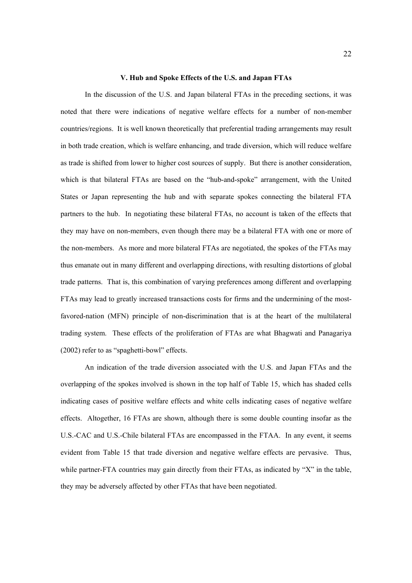#### **V. Hub and Spoke Effects of the U.S. and Japan FTAs**

In the discussion of the U.S. and Japan bilateral FTAs in the preceding sections, it was noted that there were indications of negative welfare effects for a number of non-member countries/regions. It is well known theoretically that preferential trading arrangements may result in both trade creation, which is welfare enhancing, and trade diversion, which will reduce welfare as trade is shifted from lower to higher cost sources of supply. But there is another consideration, which is that bilateral FTAs are based on the "hub-and-spoke" arrangement, with the United States or Japan representing the hub and with separate spokes connecting the bilateral FTA partners to the hub. In negotiating these bilateral FTAs, no account is taken of the effects that they may have on non-members, even though there may be a bilateral FTA with one or more of the non-members. As more and more bilateral FTAs are negotiated, the spokes of the FTAs may thus emanate out in many different and overlapping directions, with resulting distortions of global trade patterns. That is, this combination of varying preferences among different and overlapping FTAs may lead to greatly increased transactions costs for firms and the undermining of the mostfavored-nation (MFN) principle of non-discrimination that is at the heart of the multilateral trading system. These effects of the proliferation of FTAs are what Bhagwati and Panagariya  $(2002)$  refer to as "spaghetti-bowl" effects.

An indication of the trade diversion associated with the U.S. and Japan FTAs and the overlapping of the spokes involved is shown in the top half of Table 15, which has shaded cells indicating cases of positive welfare effects and white cells indicating cases of negative welfare effects. Altogether, 16 FTAs are shown, although there is some double counting insofar as the U.S.-CAC and U.S.-Chile bilateral FTAs are encompassed in the FTAA. In any event, it seems evident from Table 15 that trade diversion and negative welfare effects are pervasive. Thus, while partner-FTA countries may gain directly from their FTAs, as indicated by  $X''$  in the table, they may be adversely affected by other FTAs that have been negotiated.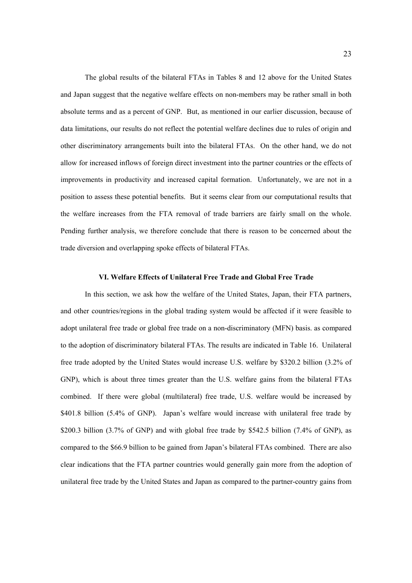The global results of the bilateral FTAs in Tables 8 and 12 above for the United States and Japan suggest that the negative welfare effects on non-members may be rather small in both absolute terms and as a percent of GNP. But, as mentioned in our earlier discussion, because of data limitations, our results do not reflect the potential welfare declines due to rules of origin and other discriminatory arrangements built into the bilateral FTAs. On the other hand, we do not allow for increased inflows of foreign direct investment into the partner countries or the effects of improvements in productivity and increased capital formation. Unfortunately, we are not in a position to assess these potential benefits. But it seems clear from our computational results that the welfare increases from the FTA removal of trade barriers are fairly small on the whole. Pending further analysis, we therefore conclude that there is reason to be concerned about the trade diversion and overlapping spoke effects of bilateral FTAs.

### **VI. Welfare Effects of Unilateral Free Trade and Global Free Trade**

In this section, we ask how the welfare of the United States, Japan, their FTA partners, and other countries/regions in the global trading system would be affected if it were feasible to adopt unilateral free trade or global free trade on a non-discriminatory (MFN) basis. as compared to the adoption of discriminatory bilateral FTAs. The results are indicated in Table 16. Unilateral free trade adopted by the United States would increase U.S. welfare by \$320.2 billion (3.2% of GNP), which is about three times greater than the U.S. welfare gains from the bilateral FTAs combined. If there were global (multilateral) free trade, U.S. welfare would be increased by \$401.8 billion (5.4% of GNP). Japan's welfare would increase with unilateral free trade by \$200.3 billion (3.7% of GNP) and with global free trade by \$542.5 billion (7.4% of GNP), as compared to the \$66.9 billion to be gained from Japan's bilateral FTAs combined. There are also clear indications that the FTA partner countries would generally gain more from the adoption of unilateral free trade by the United States and Japan as compared to the partner-country gains from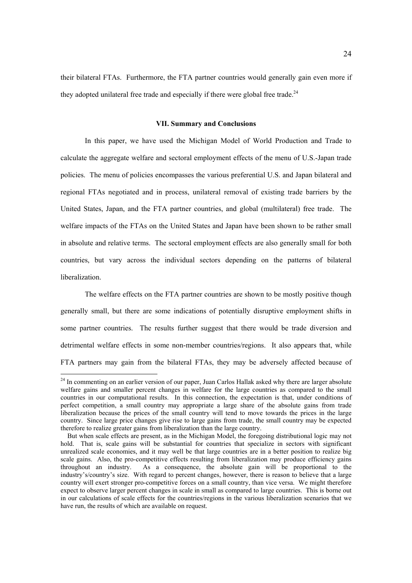their bilateral FTAs. Furthermore, the FTA partner countries would generally gain even more if they adopted unilateral free trade and especially if there were global free trade.<sup>24</sup>

#### **VII. Summary and Conclusions**

In this paper, we have used the Michigan Model of World Production and Trade to calculate the aggregate welfare and sectoral employment effects of the menu of U.S.-Japan trade policies. The menu of policies encompasses the various preferential U.S. and Japan bilateral and regional FTAs negotiated and in process, unilateral removal of existing trade barriers by the United States, Japan, and the FTA partner countries, and global (multilateral) free trade. The welfare impacts of the FTAs on the United States and Japan have been shown to be rather small in absolute and relative terms. The sectoral employment effects are also generally small for both countries, but vary across the individual sectors depending on the patterns of bilateral liberalization.

 The welfare effects on the FTA partner countries are shown to be mostly positive though generally small, but there are some indications of potentially disruptive employment shifts in some partner countries. The results further suggest that there would be trade diversion and detrimental welfare effects in some non-member countries/regions. It also appears that, while FTA partners may gain from the bilateral FTAs, they may be adversely affected because of

l

<sup>&</sup>lt;sup>24</sup> In commenting on an earlier version of our paper, Juan Carlos Hallak asked why there are larger absolute welfare gains and smaller percent changes in welfare for the large countries as compared to the small countries in our computational results. In this connection, the expectation is that, under conditions of perfect competition, a small country may appropriate a large share of the absolute gains from trade liberalization because the prices of the small country will tend to move towards the prices in the large country. Since large price changes give rise to large gains from trade, the small country may be expected therefore to realize greater gains from liberalization than the large country.

But when scale effects are present, as in the Michigan Model, the foregoing distributional logic may not hold. That is, scale gains will be substantial for countries that specialize in sectors with significant unrealized scale economies, and it may well be that large countries are in a better position to realize big scale gains. Also, the pro-competitive effects resulting from liberalization may produce efficiency gains throughout an industry. As a consequence, the absolute gain will be proportional to the industry's/country's size. With regard to percent changes, however, there is reason to believe that a large country will exert stronger pro-competitive forces on a small country, than vice versa. We might therefore expect to observe larger percent changes in scale in small as compared to large countries. This is borne out in our calculations of scale effects for the countries/regions in the various liberalization scenarios that we have run, the results of which are available on request.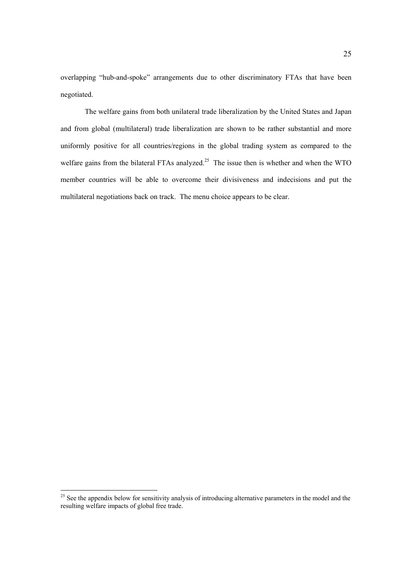overlapping "hub-and-spoke" arrangements due to other discriminatory FTAs that have been negotiated.

 The welfare gains from both unilateral trade liberalization by the United States and Japan and from global (multilateral) trade liberalization are shown to be rather substantial and more uniformly positive for all countries/regions in the global trading system as compared to the welfare gains from the bilateral FTAs analyzed.<sup>25</sup> The issue then is whether and when the WTO member countries will be able to overcome their divisiveness and indecisions and put the multilateral negotiations back on track. The menu choice appears to be clear.

<sup>&</sup>lt;sup>25</sup> See the appendix below for sensitivity analysis of introducing alternative parameters in the model and the resulting welfare impacts of global free trade.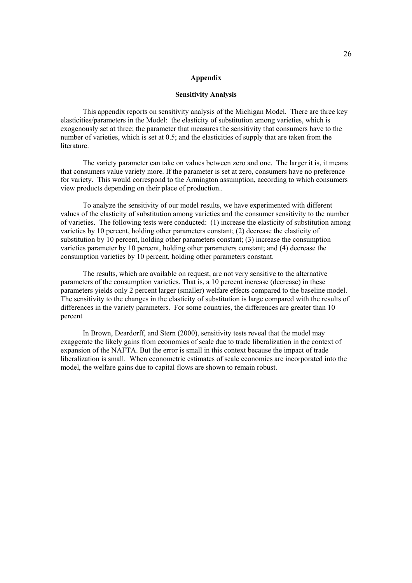#### **Appendix**

#### **Sensitivity Analysis**

This appendix reports on sensitivity analysis of the Michigan Model. There are three key elasticities/parameters in the Model: the elasticity of substitution among varieties, which is exogenously set at three; the parameter that measures the sensitivity that consumers have to the number of varieties, which is set at 0.5; and the elasticities of supply that are taken from the literature.

The variety parameter can take on values between zero and one. The larger it is, it means that consumers value variety more. If the parameter is set at zero, consumers have no preference for variety. This would correspond to the Armington assumption, according to which consumers view products depending on their place of production..

To analyze the sensitivity of our model results, we have experimented with different values of the elasticity of substitution among varieties and the consumer sensitivity to the number of varieties. The following tests were conducted: (1) increase the elasticity of substitution among varieties by 10 percent, holding other parameters constant; (2) decrease the elasticity of substitution by 10 percent, holding other parameters constant; (3) increase the consumption varieties parameter by 10 percent, holding other parameters constant; and (4) decrease the consumption varieties by 10 percent, holding other parameters constant.

The results, which are available on request, are not very sensitive to the alternative parameters of the consumption varieties. That is, a 10 percent increase (decrease) in these parameters yields only 2 percent larger (smaller) welfare effects compared to the baseline model. The sensitivity to the changes in the elasticity of substitution is large compared with the results of differences in the variety parameters. For some countries, the differences are greater than 10 percent

In Brown, Deardorff, and Stern (2000), sensitivity tests reveal that the model may exaggerate the likely gains from economies of scale due to trade liberalization in the context of expansion of the NAFTA. But the error is small in this context because the impact of trade liberalization is small. When econometric estimates of scale economies are incorporated into the model, the welfare gains due to capital flows are shown to remain robust.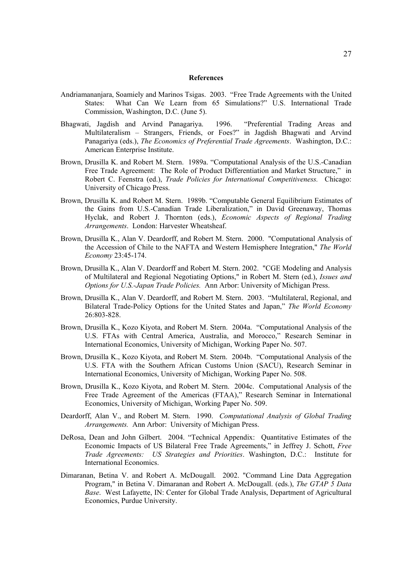#### **References**

- Andriamananjara, Soamiely and Marinos Tsigas. 2003. "Free Trade Agreements with the United States: What Can We Learn from 65 Simulations?" U.S. International Trade Commission, Washington, D.C. (June 5).
- Bhagwati, Jagdish and Arvind Panagariya. 1996. "Preferential Trading Areas and Multilateralism - Strangers, Friends, or Foes?" in Jagdish Bhagwati and Arvind Panagariya (eds.), *The Economics of Preferential Trade Agreements*. Washington, D.C.: American Enterprise Institute.
- Brown, Drusilla K. and Robert M. Stern. 1989a. "Computational Analysis of the U.S.-Canadian Free Trade Agreement: The Role of Product Differentiation and Market Structure," in Robert C. Feenstra (ed.), *Trade Policies for International Competitiveness.* Chicago: University of Chicago Press.
- Brown, Drusilla K. and Robert M. Stern. 1989b. "Computable General Equilibrium Estimates of the Gains from U.S.-Canadian Trade Liberalization," in David Greenaway, Thomas Hyclak, and Robert J. Thornton (eds.), *Economic Aspects of Regional Trading Arrangements*. London: Harvester Wheatsheaf.
- Brown, Drusilla K., Alan V. Deardorff, and Robert M. Stern. 2000. "Computational Analysis of the Accession of Chile to the NAFTA and Western Hemisphere Integration," *The World Economy* 23:45-174.
- Brown, Drusilla K., Alan V. Deardorff and Robert M. Stern. 2002. "CGE Modeling and Analysis of Multilateral and Regional Negotiating Options," in Robert M. Stern (ed.), *Issues and Options for U.S.-Japan Trade Policies.* Ann Arbor: University of Michigan Press.
- Brown, Drusilla K., Alan V. Deardorff, and Robert M. Stern. 2003. "Multilateral, Regional, and Bilateral Trade-Policy Options for the United States and Japan," The World Economy 26:803-828.
- Brown, Drusilla K., Kozo Kiyota, and Robert M. Stern. 2004a. "Computational Analysis of the U.S. FTAs with Central America, Australia, and Morocco," Research Seminar in International Economics, University of Michigan, Working Paper No. 507.
- Brown, Drusilla K., Kozo Kiyota, and Robert M. Stern. 2004b. "Computational Analysis of the U.S. FTA with the Southern African Customs Union (SACU), Research Seminar in International Economics, University of Michigan, Working Paper No. 508.
- Brown, Drusilla K., Kozo Kiyota, and Robert M. Stern. 2004c. Computational Analysis of the Free Trade Agreement of the Americas (FTAA)," Research Seminar in International Economics, University of Michigan, Working Paper No. 509.
- Deardorff, Alan V., and Robert M. Stern. 1990. *Computational Analysis of Global Trading Arrangements.* Ann Arbor: University of Michigan Press.
- DeRosa, Dean and John Gilbert. 2004. "Technical Appendix: Quantitative Estimates of the Economic Impacts of US Bilateral Free Trade Agreements," in Jeffrey J. Schott, *Free Trade Agreements: US Strategies and Priorities*. Washington, D.C.: Institute for International Economics.
- Dimaranan, Betina V. and Robert A. McDougall. 2002. "Command Line Data Aggregation Program," in Betina V. Dimaranan and Robert A. McDougall. (eds.), *The GTAP 5 Data Base*. West Lafayette, IN: Center for Global Trade Analysis, Department of Agricultural Economics, Purdue University.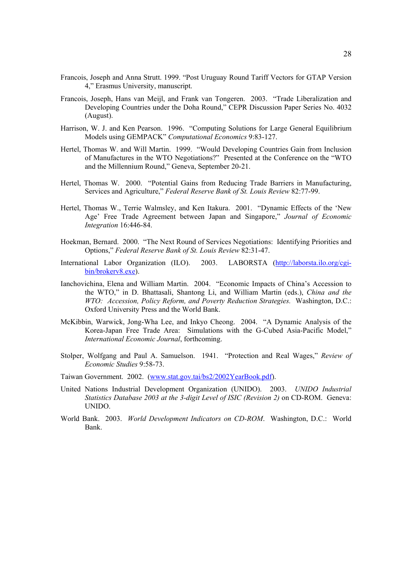- Francois, Joseph and Anna Strutt. 1999. "Post Uruguay Round Tariff Vectors for GTAP Version 4," Erasmus University, manuscript.
- Francois, Joseph, Hans van Meijl, and Frank van Tongeren. 2003. *"Trade Liberalization and* Developing Countries under the Doha Round," CEPR Discussion Paper Series No. 4032 (August).
- Harrison, W. J. and Ken Pearson. 1996. "Computing Solutions for Large General Equilibrium Models using GEMPACK" *Computational Economics* 9:83-127.
- Hertel, Thomas W. and Will Martin. 1999. "Would Developing Countries Gain from Inclusion of Manufactures in the WTO Negotiations?" Presented at the Conference on the "WTO and the Millennium Round," Geneva, September 20-21.
- Hertel, Thomas W. 2000. "Potential Gains from Reducing Trade Barriers in Manufacturing, Services and Agriculture," *Federal Reserve Bank of St. Louis Review 82:77-99.*
- Hertel, Thomas W., Terrie Walmsley, and Ken Itakura. 2001. "Dynamic Effects of the 'New Age<sup> $\cdot$ </sup> Free Trade Agreement between Japan and Singapore," Journal of Economic *Integration* 16:446-84.
- Hoekman, Bernard. 2000. "The Next Round of Services Negotiations: Identifying Priorities and Options,î *Federal Reserve Bank of St. Louis Review* 82:31-47.
- International Labor Organization (ILO). 2003. LABORSTA (http://laborsta.ilo.org/cgibin/brokerv8.exe).
- Ianchovichina, Elena and William Martin. 2004. "Economic Impacts of China's Accession to the WTO," in D. Bhattasali, Shantong Li, and William Martin (eds.), *China and the WTO: Accession, Policy Reform, and Poverty Reduction Strategies.* Washington, D.C.: Oxford University Press and the World Bank.
- McKibbin, Warwick, Jong-Wha Lee, and Inkyo Cheong. 2004. "A Dynamic Analysis of the Korea-Japan Free Trade Area: Simulations with the G-Cubed Asia-Pacific Model." *International Economic Journal*, forthcoming.
- Stolper, Wolfgang and Paul A. Samuelson. 1941. "Protection and Real Wages," Review of *Economic Studies* 9:58-73.
- Taiwan Government. 2002. (www.stat.gov.tai/bs2/2002YearBook.pdf).
- United Nations Industrial Development Organization (UNIDO). 2003. *UNIDO Industrial Statistics Database 2003 at the 3-digit Level of ISIC (Revision 2)* on CD-ROM. Geneva: UNIDO.
- World Bank. 2003. *World Development Indicators on CD-ROM*. Washington, D.C.: World Bank.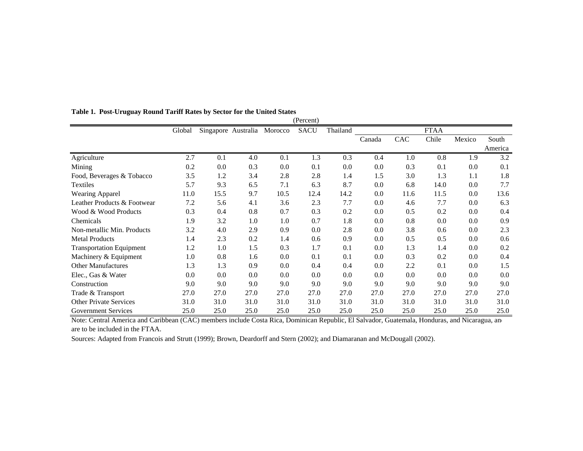|                                 |        |                     |      |         | (Percent)   |          |         |      |             |        |         |
|---------------------------------|--------|---------------------|------|---------|-------------|----------|---------|------|-------------|--------|---------|
|                                 | Global | Singapore Australia |      | Morocco | <b>SACU</b> | Thailand |         |      | <b>FTAA</b> |        |         |
|                                 |        |                     |      |         |             |          | Canada  | CAC  | Chile       | Mexico | South   |
|                                 |        |                     |      |         |             |          |         |      |             |        | America |
| Agriculture                     | 2.7    | 0.1                 | 4.0  | 0.1     | 1.3         | 0.3      | 0.4     | 1.0  | 0.8         | 1.9    | 3.2     |
| Mining                          | 0.2    | 0.0                 | 0.3  | 0.0     | 0.1         | 0.0      | 0.0     | 0.3  | 0.1         | 0.0    | 0.1     |
| Food, Beverages & Tobacco       | 3.5    | 1.2                 | 3.4  | 2.8     | 2.8         | 1.4      | 1.5     | 3.0  | 1.3         | 1.1    | 1.8     |
| Textiles                        | 5.7    | 9.3                 | 6.5  | 7.1     | 6.3         | 8.7      | 0.0     | 6.8  | 14.0        | 0.0    | 7.7     |
| Wearing Apparel                 | 11.0   | 15.5                | 9.7  | 10.5    | 12.4        | 14.2     | 0.0     | 11.6 | 11.5        | 0.0    | 13.6    |
| Leather Products & Footwear     | 7.2    | 5.6                 | 4.1  | 3.6     | 2.3         | 7.7      | 0.0     | 4.6  | 7.7         | 0.0    | 6.3     |
| Wood & Wood Products            | 0.3    | 0.4                 | 0.8  | 0.7     | 0.3         | 0.2      | $0.0\,$ | 0.5  | 0.2         | 0.0    | 0.4     |
| Chemicals                       | 1.9    | 3.2                 | 1.0  | 1.0     | 0.7         | 1.8      | $0.0\,$ | 0.8  | 0.0         | 0.0    | 0.9     |
| Non-metallic Min. Products      | 3.2    | 4.0                 | 2.9  | 0.9     | 0.0         | 2.8      | $0.0\,$ | 3.8  | 0.6         | 0.0    | 2.3     |
| <b>Metal Products</b>           | 1.4    | 2.3                 | 0.2  | 1.4     | 0.6         | 0.9      | $0.0\,$ | 0.5  | 0.5         | 0.0    | 0.6     |
| <b>Transportation Equipment</b> | 1.2    | 1.0                 | 1.5  | 0.3     | 1.7         | 0.1      | $0.0\,$ | 1.3  | 1.4         | 0.0    | 0.2     |
| Machinery & Equipment           | 1.0    | 0.8                 | 1.6  | 0.0     | 0.1         | 0.1      | 0.0     | 0.3  | 0.2         | 0.0    | 0.4     |
| <b>Other Manufactures</b>       | 1.3    | 1.3                 | 0.9  | 0.0     | 0.4         | 0.4      | 0.0     | 2.2  | 0.1         | 0.0    | 1.5     |
| Elec., Gas & Water              | 0.0    | 0.0                 | 0.0  | 0.0     | 0.0         | 0.0      | 0.0     | 0.0  | 0.0         | 0.0    | $0.0\,$ |
| Construction                    | 9.0    | 9.0                 | 9.0  | 9.0     | 9.0         | 9.0      | 9.0     | 9.0  | 9.0         | 9.0    | 9.0     |
| Trade & Transport               | 27.0   | 27.0                | 27.0 | 27.0    | 27.0        | 27.0     | 27.0    | 27.0 | 27.0        | 27.0   | 27.0    |
| <b>Other Private Services</b>   | 31.0   | 31.0                | 31.0 | 31.0    | 31.0        | 31.0     | 31.0    | 31.0 | 31.0        | 31.0   | 31.0    |
| <b>Government Services</b>      | 25.0   | 25.0                | 25.0 | 25.0    | 25.0        | 25.0     | 25.0    | 25.0 | 25.0        | 25.0   | 25.0    |

### **Table 1. Post-Uruguay Round Tariff Rates by Sector for the United States**

Note: Central America and Caribbean (CAC) members include Costa Rica, Dominican Republic, El Salvador, Guatemala, Honduras, and Nicaragua, and are to be included in the FTAA.

Sources: Adapted from Francois and Strutt (1999); Brown, Deardorff and Stern (2002); and Diamaranan and McDougall (2002).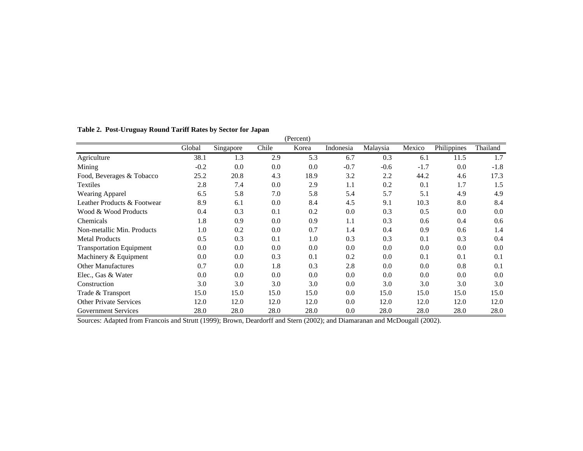|                                 |        |           |       | (Percent) |           |          |        |             |          |
|---------------------------------|--------|-----------|-------|-----------|-----------|----------|--------|-------------|----------|
|                                 | Global | Singapore | Chile | Korea     | Indonesia | Malaysia | Mexico | Philippines | Thailand |
| Agriculture                     | 38.1   | 1.3       | 2.9   | 5.3       | 6.7       | 0.3      | 6.1    | 11.5        | 1.7      |
| Mining                          | $-0.2$ | 0.0       | 0.0   | 0.0       | $-0.7$    | $-0.6$   | $-1.7$ | 0.0         | $-1.8$   |
| Food, Beverages & Tobacco       | 25.2   | 20.8      | 4.3   | 18.9      | 3.2       | 2.2      | 44.2   | 4.6         | 17.3     |
| Textiles                        | 2.8    | 7.4       | 0.0   | 2.9       | 1.1       | 0.2      | 0.1    | 1.7         | 1.5      |
| <b>Wearing Apparel</b>          | 6.5    | 5.8       | 7.0   | 5.8       | 5.4       | 5.7      | 5.1    | 4.9         | 4.9      |
| Leather Products & Footwear     | 8.9    | 6.1       | 0.0   | 8.4       | 4.5       | 9.1      | 10.3   | 8.0         | 8.4      |
| Wood & Wood Products            | 0.4    | 0.3       | 0.1   | 0.2       | 0.0       | 0.3      | 0.5    | 0.0         | 0.0      |
| Chemicals                       | 1.8    | 0.9       | 0.0   | 0.9       | 1.1       | 0.3      | 0.6    | 0.4         | 0.6      |
| Non-metallic Min. Products      | 1.0    | 0.2       | 0.0   | 0.7       | 1.4       | 0.4      | 0.9    | 0.6         | 1.4      |
| <b>Metal Products</b>           | 0.5    | 0.3       | 0.1   | 1.0       | 0.3       | 0.3      | 0.1    | 0.3         | 0.4      |
| <b>Transportation Equipment</b> | 0.0    | 0.0       | 0.0   | 0.0       | 0.0       | 0.0      | 0.0    | 0.0         | 0.0      |
| Machinery & Equipment           | 0.0    | 0.0       | 0.3   | 0.1       | 0.2       | 0.0      | 0.1    | 0.1         | 0.1      |
| <b>Other Manufactures</b>       | 0.7    | 0.0       | 1.8   | 0.3       | 2.8       | 0.0      | 0.0    | 0.8         | 0.1      |
| Elec., Gas & Water              | 0.0    | 0.0       | 0.0   | 0.0       | 0.0       | 0.0      | 0.0    | 0.0         | 0.0      |
| Construction                    | 3.0    | 3.0       | 3.0   | 3.0       | 0.0       | 3.0      | 3.0    | 3.0         | 3.0      |
| Trade & Transport               | 15.0   | 15.0      | 15.0  | 15.0      | 0.0       | 15.0     | 15.0   | 15.0        | 15.0     |
| <b>Other Private Services</b>   | 12.0   | 12.0      | 12.0  | 12.0      | 0.0       | 12.0     | 12.0   | 12.0        | 12.0     |
| Government Services             | 28.0   | 28.0      | 28.0  | 28.0      | 0.0       | 28.0     | 28.0   | 28.0        | 28.0     |

**Table 2. Post-Uruguay Round Tariff Rates by Sector for Japan**

Sources: Adapted from Francois and Strutt (1999); Brown, Deardorff and Stern (2002); and Diamaranan and McDougall (2002).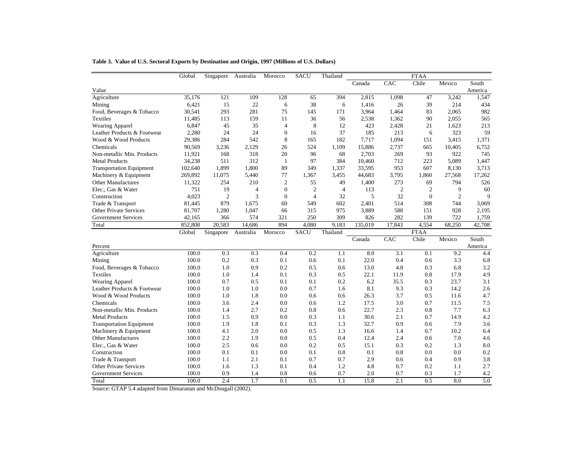|                                     | Global         | Singapore      | Australia  | Morocco        | <b>SACU</b>    | Thailand       |             |                | <b>FTAA</b>    |                |              |
|-------------------------------------|----------------|----------------|------------|----------------|----------------|----------------|-------------|----------------|----------------|----------------|--------------|
|                                     |                |                |            |                |                |                | Canada      | CAC            | Chile          | Mexico         | South        |
| Value                               |                |                |            |                |                |                |             |                |                |                | America      |
| Agriculture                         | 35.176         | 121            | 109        | 128            | 65             | 394            | 2,815       | 1,098          | 47             | 3,242          | 1.547        |
| Mining                              | 6,421          | 15             | 22         | 6              | 38             | 6              | 1,416       | 26             | 39             | 214            | 434          |
| Food, Beverages & Tobacco           | 30,541         | 293            | 281        | 75             | 145            | 171            | 3,964       | 1,464          | 83             | 2,065          | 982          |
| <b>Textiles</b>                     | 11,485         | 113            | 159        | 11             | 36             | 56             | 2,538       | 1,362          | 90             | 2.055          | 565          |
| <b>Wearing Apparel</b>              | 6,847          | 45             | 35         | $\overline{4}$ | 8              | 12             | 423         | 2,428          | 21             | 1,623          | 213          |
| Leather Products & Footwear         | 2,280          | 24             | 24         | $\mathbf{0}$   | 16             | 37             | 185         | 213            | 6              | 323            | 59           |
| Wood & Wood Products                | 29,386         | 284            | 542        | 8              | 165            | 182            | 7,717       | 1,094          | 151            | 3.415          | 1,371        |
| Chemicals                           | 90,569         | 3,236          | 2,129      | 26             | 524            | 1,109          | 15,886      | 2,737          | 665            | 10,405         | 6,752        |
| Non-metallic Min. Products          | 11,921         | 168            | 318        | 20             | 96             | 68             | 2,703       | 269            | 93             | 922            | 745          |
| <b>Metal Products</b>               | 34,238         | 511            | 312        | $\mathbf{1}$   | 97             | 384            | 10,460      | 712            | 223            | 5.089          | 1.447        |
| <b>Transportation Equipment</b>     | 102,640        | 1,899          | 1,800      | 89             | 349            | 1,337          | 33,595      | 953            | 607            | 8,130          | 3,713        |
| Machinery & Equipment               | 269,892        | 11,075         | 5,440      | 77             | 1,367          | 3,455          | 44,683      | 3,795          | 1,860          | 27,568         | 17,262       |
| <b>Other Manufactures</b>           | 11,322         | 254            | 210        | $\overline{2}$ | 55             | 49             | 1.400       | 273            | 69             | 794            | 526          |
| Elec., Gas & Water                  | 751            | 19             | 4          | $\overline{0}$ | $\overline{2}$ | $\overline{4}$ | 113         | $\overline{2}$ | $\overline{2}$ | 9              | 60           |
| Construction                        | 4,023          | $\overline{2}$ | 3          | $\overline{0}$ | $\overline{4}$ | 32             | 5           | 32             | $\Omega$       | $\overline{2}$ | $\mathbf{Q}$ |
| Trade & Transport                   | 81,445         | 879            | 1.675      | 60             | 549            | 602            | 2,401       | 514            | 308            | 744            | 3,069        |
| <b>Other Private Services</b>       | 81.707         | 1,280          | 1.047      | 66             | 315            | 975            | 3,889       | 588            | 151            | 928            | 2,195        |
| <b>Government Services</b>          | 42,165         | 366            | 574        | 321            | 250            | 309            | 826         | 282            | 139            | 722            | 1,759        |
| Total                               | 852,808        | 20,583         | 14.686     | 894            | 4.080          | 9.183          | 135.019     | 17,843         | 4,554          | 68,250         | 42,708       |
|                                     |                |                |            |                |                |                |             |                |                |                |              |
|                                     | Global         | Singapore      | Australia  | Morocco        | <b>SACU</b>    | Thailand       |             |                | <b>FTAA</b>    |                |              |
|                                     |                |                |            |                |                |                | Canada      | CAC            | Chile          | Mexico         | South        |
| Percent                             |                |                |            |                |                |                |             |                |                |                | America      |
| Agriculture                         | 100.0          | 0.3            | 0.3        | 0.4            | 0.2            | 1.1            | 8.0         | 3.1            | 0.1            | 9.2            | 4.4          |
| Mining                              | 100.0          | 0.2            | 0.3        | 0.1            | 0.6            | 0.1            | 22.0        | 0.4            | 0.6            | 3.3            | 6.8          |
| Food, Beverages & Tobacco           | 100.0          | 1.0            | 0.9        | 0.2            | 0.5            | 0.6            | 13.0        | 4.8            | 0.3            | 6.8            | 3.2          |
| <b>Textiles</b>                     | 100.0          | 1.0            | 1.4        | 0.1            | 0.3            | 0.5            | 22.1        | 11.9           | 0.8            | 17.9           | 4.9          |
| <b>Wearing Apparel</b>              | 100.0          | 0.7            | 0.5        | 0.1            | 0.1            | 0.2            | 6.2         | 35.5           | 0.3            | 23.7           | 3.1          |
| Leather Products & Footwear         | 100.0          | 1.0            | 1.0        | 0.0            | 0.7            | 1.6            | 8.1         | 9.3            | 0.3            | 14.2           | 2.6          |
| Wood & Wood Products                | 100.0          | 1.0            | 1.8        | 0.0            | 0.6            | 0.6            | 26.3        | 3.7            | 0.5            | 11.6           | 4.7          |
| Chemicals                           | 100.0          | 3.6            | 2.4        | 0.0            | 0.6            | 1.2            | 17.5        | 3.0            | 0.7            | 11.5           | 7.5          |
| Non-metallic Min. Products          | 100.0          | 1.4            | 2.7        | 0.2            | 0.8            | 0.6            | 22.7        | 2.3            | 0.8            | 7.7            | 6.3          |
| <b>Metal Products</b>               | 100.0          | 1.5            | 0.9        | 0.0            | 0.3            | 1.1            | 30.6        | 2.1            | 0.7            | 14.9           | 4.2          |
| <b>Transportation Equipment</b>     | 100.0          | 1.9            | 1.8        | 0.1            | 0.3            | 1.3            | 32.7        | 0.9            | 0.6            | 7.9            | 3.6          |
| Machinery & Equipment               | 100.0          | 4.1            | 2.0        | 0.0            | 0.5            | 1.3            | 16.6        | 1.4            | 0.7            | 10.2           | 6.4          |
| <b>Other Manufactures</b>           | 100.0          | 2.2            | 1.9        | 0.0            | 0.5            | 0.4            | 12.4        | 2.4            | 0.6            | 7.0            | 4.6          |
| Elec., Gas & Water                  | 100.0          | 2.5            | 0.6        | 0.0            | 0.2            | 0.5            | 15.1        | 0.3            | 0.2            | 1.3            | 8.0          |
| Construction                        | 100.0          | 0.1            | 0.1        | 0.0            | 0.1            | 0.8            | 0.1         | 0.8            | 0.0            | 0.0            | 0.2          |
| Trade & Transport                   | 100.0          | 1.1            | 2.1        | 0.1            | 0.7            | 0.7            | 2.9         | 0.6            | 0.4            | 0.9            | 3.8          |
| <b>Other Private Services</b>       | 100.0          | 1.6            | 1.3        | 0.1            | 0.4            | 1.2            | 4.8         | 0.7            | 0.2            | 1.1            | 2.7          |
| <b>Government Services</b><br>Total | 100.0<br>100.0 | 0.9<br>2.4     | 1.4<br>1.7 | 0.8<br>0.1     | 0.6<br>0.5     | 0.7<br>1.1     | 2.0<br>15.8 | 0.7<br>2.1     | 0.3<br>0.5     | 1.7<br>8.0     | 4.2<br>5.0   |

**Table 3. Value of U.S. Sectoral Exports by Destination and Origin, 1997 (Millions of U.S. Dollars)**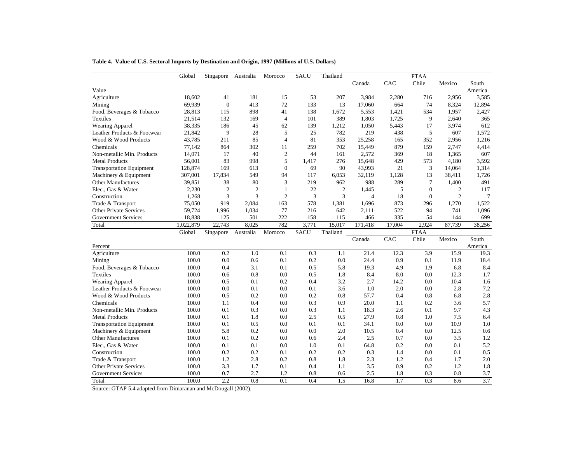|                                 | Global    | Singapore      | Australia      | Morocco        | <b>SACU</b> | Thailand       |                |        | <b>FTAA</b>  |                |                         |
|---------------------------------|-----------|----------------|----------------|----------------|-------------|----------------|----------------|--------|--------------|----------------|-------------------------|
|                                 |           |                |                |                |             |                | Canada         | CAC    | Chile        | Mexico         | South                   |
| Value                           |           |                |                |                |             |                |                |        |              |                | America                 |
| Agriculture                     | 18,602    | 41             | 181            | 15             | 53          | 207            | 3,984          | 2,280  | 716          | 2,956          | 3,585                   |
| Mining                          | 69,939    | $\mathbf{0}$   | 413            | 72             | 133         | 13             | 17,060         | 664    | 74           | 8,324          | 12,894                  |
| Food, Beverages & Tobacco       | 28,813    | 115            | 898            | 41             | 138         | 1,672          | 5,553          | 1,421  | 534          | 1,957          | 2,427                   |
| Textiles                        | 21,514    | 132            | 169            | $\overline{4}$ | 101         | 389            | 1,803          | 1,725  | 9            | 2,640          | 365                     |
| <b>Wearing Apparel</b>          | 38,335    | 186            | 45             | 62             | 139         | 1,212          | 1,050          | 5,443  | 17           | 3,974          | 612                     |
| Leather Products & Footwear     | 21,842    | 9              | 28             | 5              | 25          | 782            | 219            | 438    | 5            | 607            | 1,572                   |
| Wood & Wood Products            | 43,785    | 211            | 85             | $\overline{4}$ | 81          | 353            | 25,258         | 165    | 352          | 2,956          | 1,216                   |
| Chemicals                       | 77.142    | 864            | 302            | 11             | 259         | 702            | 15,449         | 879    | 159          | 2.747          | 4,414                   |
| Non-metallic Min. Products      | 14,071    | 17             | 40             | $\overline{c}$ | 44          | 161            | 2,572          | 369    | 18           | 1,365          | 607                     |
| <b>Metal Products</b>           | 56,001    | 83             | 998            | 5              | 1,417       | 276            | 15,648         | 429    | 573          | 4,180          | 3,592                   |
| <b>Transportation Equipment</b> | 128,874   | 169            | 613            | $\mathbf{0}$   | 69          | 90             | 43,993         | 21     | 3            | 14,064         | 1,314                   |
| Machinery & Equipment           | 307,001   | 17,834         | 549            | 94             | 117         | 6,053          | 32,119         | 1,128  | 13           | 38,411         | 1,726                   |
| <b>Other Manufactures</b>       | 39,851    | 38             | 80             | 3              | 219         | 962            | 988            | 289    | 7            | 1,400          | 491                     |
| Elec., Gas & Water              | 2,230     | $\overline{2}$ | $\mathfrak{2}$ | 1              | 22          | $\overline{c}$ | 1,445          | 5      | $\mathbf{0}$ | $\overline{c}$ | 117                     |
| Construction                    | 1,268     | 3              | 3              | $\overline{2}$ | 3           | 3              | $\overline{4}$ | 18     | $\mathbf{0}$ | $\overline{c}$ | $\tau$                  |
| Trade & Transport               | 75,050    | 919            | 2,084          | 163            | 578         | 1,381          | 1,696          | 873    | 296          | 1,270          | 1,522                   |
| <b>Other Private Services</b>   | 59,724    | 1,996          | 1,034          | 77             | 216         | 642            | 2,111          | 522    | 94           | 741            | 1,096                   |
| <b>Government Services</b>      | 18,838    | 125            | 501            | 222            | 158         | 115            | 466            | 335    | 54           | 144            | 699                     |
| Total                           | 1,022,879 | 22,743         | 8.025          | 782            | 3,771       | 15,017         | 171,418        | 17,004 | 2.924        | 87,739         | 38,256                  |
|                                 | Global    | Singapore      | Australia      | Morocco        | <b>SACU</b> | Thailand       |                |        | <b>FTAA</b>  |                |                         |
|                                 |           |                |                |                |             |                | Canada         | CAC    | Chile        | Mexico         | South                   |
| Percent                         |           |                |                |                |             |                |                |        |              |                | America                 |
| Agriculture                     | 100.0     | 0.2            | 1.0            | 0.1            | 0.3         | 1.1            | 21.4           | 12.3   | 3.9          | 15.9           | 19.3                    |
| Mining                          | 100.0     | 0.0            | 0.6            | 0.1            | 0.2         | 0.0            | 24.4           | 0.9    | 0.1          | 11.9           | 18.4                    |
| Food, Beverages & Tobacco       | 100.0     | 0.4            | 3.1            | 0.1            | 0.5         | 5.8            | 19.3           | 4.9    | 1.9          | 6.8            | 8.4                     |
| <b>Textiles</b>                 | 100.0     | 0.6            | 0.8            | 0.0            | 0.5         | 1.8            | 8.4            | 8.0    | 0.0          | 12.3           | 1.7                     |
| <b>Wearing Apparel</b>          | 100.0     | 0.5            | 0.1            | 0.2            | 0.4         | 3.2            | 2.7            | 14.2   | 0.0          | 10.4           | 1.6                     |
| Leather Products & Footwear     | 100.0     | 0.0            | 0.1            | 0.0            | 0.1         | 3.6            | 1.0            | 2.0    | 0.0          | 2.8            | 7.2                     |
| Wood & Wood Products            | 100.0     | 0.5            | 0.2            | 0.0            | 0.2         | 0.8            | 57.7           | 0.4    | 0.8          | 6.8            | 2.8                     |
| Chemicals                       | 100.0     | 1.1            | 0.4            | 0.0            | 0.3         | 0.9            | 20.0           | 1.1    | 0.2          | 3.6            | 5.7                     |
| Non-metallic Min. Products      | 100.0     | 0.1            | 0.3            | 0.0            | 0.3         | 1.1            | 18.3           | 2.6    | 0.1          | 9.7            | 4.3                     |
| <b>Metal Products</b>           | 100.0     | 0.1            | 1.8            | 0.0            | 2.5         | 0.5            | 27.9           | 0.8    | 1.0          | 7.5            | 6.4                     |
| <b>Transportation Equipment</b> | 100.0     | 0.1            | 0.5            | 0.0            | 0.1         | 0.1            | 34.1           | 0.0    | 0.0          | 10.9           | 1.0                     |
| Machinery & Equipment           | 100.0     | 5.8            | 0.2            | 0.0            | 0.0         | 2.0            | 10.5           | 0.4    | 0.0          | 12.5           | 0.6                     |
| <b>Other Manufactures</b>       | 100.0     | 0.1            | 0.2            | 0.0            | 0.6         | 2.4            | 2.5            | 0.7    | 0.0          | 3.5            | 1.2                     |
| Elec., Gas & Water              | 100.0     | 0.1            | 0.1            | 0.0            | 1.0         | 0.1            | 64.8           | 0.2    | 0.0          | 0.1            | 5.2                     |
|                                 |           |                |                |                |             |                |                |        |              |                |                         |
| Construction                    | 100.0     | 0.2            | 0.2            | 0.1            | 0.2         | 0.2            | 0.3            | 1.4    | 0.0          | 0.1            | 0.5                     |
| Trade & Transport               | 100.0     | 1.2            | 2.8            | 0.2            | 0.8         | 1.8            | 2.3            | 1.2    | 0.4          | 1.7            | 2.0                     |
| <b>Other Private Services</b>   | 100.0     | 3.3            | 1.7            | 0.1            | 0.4         | 1.1            | 3.5            | 0.9    | 0.2          | 1.2            | 1.8                     |
| <b>Government Services</b>      | 100.0     | 0.7            | 2.7            | 1.2            | 0.8         | 0.6            | 2.5            | 1.8    | 0.3          | 0.8            | 3.7<br>$\overline{3.7}$ |

**Table 4. Value of U.S. Sectoral Imports by Destination and Origin, 1997 (Millions of U.S. Dollars)**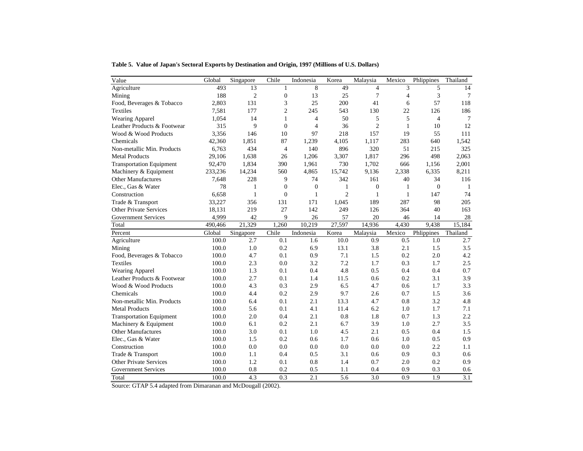| Value                           | Global  | Singapore      | Chile            | Indonesia        | Korea          | Malaysia       | Mexico       | Phlippines     | Thailand     |
|---------------------------------|---------|----------------|------------------|------------------|----------------|----------------|--------------|----------------|--------------|
| Agriculture                     | 493     | 13             | 1                | 8                | 49             | $\overline{4}$ | 3            | 5              | 14           |
| Mining                          | 188     | $\overline{2}$ | $\boldsymbol{0}$ | 13               | 25             | 7              | 4            | 3              | 7            |
| Food, Beverages & Tobacco       | 2,803   | 131            | 3                | 25               | 200            | 41             | 6            | 57             | 118          |
| <b>Textiles</b>                 | 7,581   | 177            | $\overline{c}$   | 245              | 543            | 130            | 22           | 126            | 186          |
| Wearing Apparel                 | 1,054   | 14             | 1                | $\overline{4}$   | 50             | 5              | 5            | $\overline{4}$ | $\tau$       |
| Leather Products & Footwear     | 315     | 9              | $\mathbf{0}$     | $\overline{4}$   | 36             | $\overline{2}$ | 1            | 10             | 12           |
| Wood & Wood Products            | 3,356   | 146            | 10               | 97               | 218            | 157            | 19           | 55             | 111          |
| Chemicals                       | 42,360  | 1,851          | 87               | 1,239            | 4,105          | 1,117          | 283          | 640            | 1,542        |
| Non-metallic Min. Products      | 6,763   | 434            | $\overline{4}$   | 140              | 896            | 320            | 51           | 215            | 325          |
| <b>Metal Products</b>           | 29,106  | 1,638          | 26               | 1,206            | 3,307          | 1,817          | 296          | 498            | 2,063        |
| <b>Transportation Equipment</b> | 92,470  | 1,834          | 390              | 1,961            | 730            | 1,702          | 666          | 1,156          | 2,001        |
| Machinery & Equipment           | 233,236 | 14,234         | 560              | 4,865            | 15,742         | 9,136          | 2,338        | 6,335          | 8,211        |
| <b>Other Manufactures</b>       | 7,648   | 228            | 9                | 74               | 342            | 161            | 40           | 34             | 116          |
| Elec., Gas & Water              | 78      | 1              | $\overline{0}$   | $\boldsymbol{0}$ | 1              | $\overline{0}$ | $\mathbf{1}$ | $\mathbf{0}$   | $\mathbf{1}$ |
| Construction                    | 6,658   | 1              | $\boldsymbol{0}$ | $\mathbf{1}$     | $\overline{2}$ | $\mathbf{1}$   | 1            | 147            | 74           |
| Trade & Transport               | 33,227  | 356            | 131              | 171              | 1,045          | 189            | 287          | 98             | 205          |
| <b>Other Private Services</b>   | 18,131  | 219            | 27               | 142              | 249            | 126            | 364          | 40             | 163          |
| <b>Government Services</b>      | 4,999   | 42             | 9                | 26               | 57             | 20             | 46           | 14             | 28           |
| Total                           | 490,466 | 21,329         | 1,260            | 10,219           | 27,597         | 14,936         | 4,430        | 9,438          | 15,184       |
| Percent                         | Global  | Singapore      | Chile            | Indonesia        | Korea          | Malaysia       | Mexico       | Phlippines     | Thailand     |
|                                 |         |                |                  |                  |                |                |              |                |              |
| Agriculture                     | 100.0   | 2.7            | 0.1              | 1.6              | 10.0           | 0.9            | 0.5          | 1.0            | 2.7          |
| Mining                          | 100.0   | 1.0            | 0.2              | 6.9              | 13.1           | 3.8            | 2.1          | 1.5            | 3.5          |
| Food, Beverages & Tobacco       | 100.0   | 4.7            | 0.1              | 0.9              | 7.1            | 1.5            | 0.2          | 2.0            | 4.2          |
| Textiles                        | 100.0   | 2.3            | 0.0              | 3.2              | 7.2            | 1.7            | 0.3          | 1.7            | 2.5          |
| <b>Wearing Apparel</b>          | 100.0   | 1.3            | 0.1              | 0.4              | 4.8            | 0.5            | 0.4          | 0.4            | 0.7          |
| Leather Products & Footwear     | 100.0   | 2.7            | 0.1              | 1.4              | 11.5           | 0.6            | 0.2          | 3.1            | 3.9          |
| Wood & Wood Products            | 100.0   | 4.3            | 0.3              | 2.9              | 6.5            | 4.7            | 0.6          | 1.7            | 3.3          |
| Chemicals                       | 100.0   | 4.4            | 0.2              | 2.9              | 9.7            | 2.6            | 0.7          | 1.5            | 3.6          |
| Non-metallic Min. Products      | 100.0   | 6.4            | 0.1              | 2.1              | 13.3           | 4.7            | 0.8          | 3.2            | 4.8          |
| <b>Metal Products</b>           | 100.0   | 5.6            | 0.1              | 4.1              | 11.4           | 6.2            | 1.0          | 1.7            | 7.1          |
| <b>Transportation Equipment</b> | 100.0   | 2.0            | 0.4              | 2.1              | 0.8            | 1.8            | 0.7          | 1.3            | 2.2          |
| Machinery & Equipment           | 100.0   | 6.1            | 0.2              | 2.1              | 6.7            | 3.9            | 1.0          | 2.7            | 3.5          |
| <b>Other Manufactures</b>       | 100.0   | 3.0            | 0.1              | 1.0              | 4.5            | 2.1            | 0.5          | 0.4            | 1.5          |
| Elec., Gas & Water              | 100.0   | 1.5            | 0.2              | 0.6              | 1.7            | 0.6            | 1.0          | 0.5            | 0.9          |
| Construction                    | 100.0   | 0.0            | 0.0              | 0.0              | 0.0            | 0.0            | 0.0          | 2.2            | 1.1          |
| Trade & Transport               | 100.0   | 1.1            | 0.4              | 0.5              | 3.1            | 0.6            | 0.9          | 0.3            | 0.6          |
| <b>Other Private Services</b>   | 100.0   | 1.2            | 0.1              | 0.8              | 1.4            | 0.7            | 2.0          | 0.2            | 0.9          |
| <b>Government Services</b>      | 100.0   | 0.8            | 0.2              | 0.5              | 1.1            | 0.4            | 0.9          | 0.3            | 0.6          |

**Table 5. Value of Japan's Sectoral Exports by Destination and Origin, 1997 (Millions of U.S. Dollars)**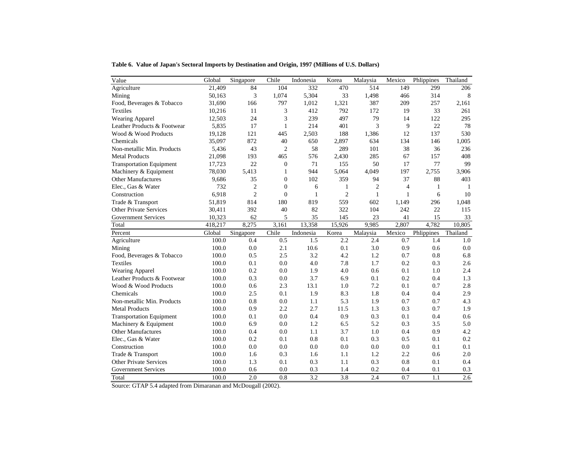| Value                           | Global  | Singapore      | Chile            | Indonesia    | Korea          | Malaysia       | Mexico       | Phlippines   | Thailand |
|---------------------------------|---------|----------------|------------------|--------------|----------------|----------------|--------------|--------------|----------|
| Agriculture                     | 21,409  | 84             | 104              | 332          | 470            | 514            | 149          | 299          | 206      |
| Mining                          | 50,163  | 3              | 1,074            | 5,304        | 33             | 1,498          | 466          | 314          | 8        |
| Food, Beverages & Tobacco       | 31,690  | 166            | 797              | 1,012        | 1,321          | 387            | 209          | 257          | 2,161    |
| <b>Textiles</b>                 | 10,216  | 11             | 3                | 412          | 792            | 172            | 19           | 33           | 261      |
| <b>Wearing Apparel</b>          | 12.503  | 24             | 3                | 239          | 497            | 79             | 14           | 122          | 295      |
| Leather Products & Footwear     | 5,835   | 17             | 1                | 214          | 401            | 3              | 9            | 22           | 78       |
| Wood & Wood Products            | 19,128  | 121            | 445              | 2,503        | 188            | 1,386          | 12           | 137          | 530      |
| Chemicals                       | 35,097  | 872            | 40               | 650          | 2,897          | 634            | 134          | 146          | 1,005    |
| Non-metallic Min. Products      | 5,436   | 43             | $\overline{c}$   | 58           | 289            | 101            | 38           | 36           | 236      |
| <b>Metal Products</b>           | 21,098  | 193            | 465              | 576          | 2,430          | 285            | 67           | 157          | 408      |
| <b>Transportation Equipment</b> | 17,723  | 22             | $\mathbf{0}$     | 71           | 155            | 50             | 17           | 77           | 99       |
| Machinery & Equipment           | 78,030  | 5,413          | 1                | 944          | 5,064          | 4,049          | 197          | 2,755        | 3,906    |
| <b>Other Manufactures</b>       | 9,686   | 35             | $\boldsymbol{0}$ | 102          | 359            | 94             | 37           | 88           | 403      |
| Elec., Gas & Water              | 732     | $\overline{2}$ | $\theta$         | 6            | 1              | $\overline{2}$ | 4            | $\mathbf{1}$ | -1       |
| Construction                    | 6,918   | $\overline{2}$ | $\mathbf{0}$     | $\mathbf{1}$ | $\overline{2}$ | $\mathbf{1}$   | $\mathbf{1}$ | 6            | 10       |
| Trade & Transport               | 51,819  | 814            | 180              | 819          | 559            | 602            | 1,149        | 296          | 1,048    |
| <b>Other Private Services</b>   | 30,411  | 392            | 40               | 82           | 322            | 104            | 242          | 22           | 115      |
| <b>Government Services</b>      | 10,323  | 62             | 5                | 35           | 145            | 23             | 41           | 15           | 33       |
| Total                           | 418,217 | 8,275          | 3,161            | 13,358       | 15,926         | 9,985          | 2,807        | 4,782        | 10,805   |
|                                 |         |                |                  |              |                |                |              |              |          |
| Percent                         | Global  | Singapore      | Chile            | Indonesia    | Korea          | Malaysia       | Mexico       | Phlippines   | Thailand |
| Agriculture                     | 100.0   | 0.4            | 0.5              | 1.5          | 2.2            | 2.4            | 0.7          | 1.4          | 1.0      |
| Mining                          | 100.0   | 0.0            | 2.1              | 10.6         | 0.1            | 3.0            | 0.9          | 0.6          | 0.0      |
| Food, Beverages & Tobacco       | 100.0   | 0.5            | 2.5              | 3.2          | 4.2            | 1.2            | 0.7          | 0.8          | 6.8      |
| <b>Textiles</b>                 | 100.0   | 0.1            | 0.0              | 4.0          | 7.8            | 1.7            | 0.2          | 0.3          | 2.6      |
| Wearing Apparel                 | 100.0   | 0.2            | 0.0              | 1.9          | 4.0            | 0.6            | 0.1          | 1.0          | 2.4      |
| Leather Products & Footwear     | 100.0   | 0.3            | 0.0              | 3.7          | 6.9            | 0.1            | 0.2          | 0.4          | 1.3      |
| Wood & Wood Products            | 100.0   | 0.6            | 2.3              | 13.1         | 1.0            | 7.2            | 0.1          | 0.7          | 2.8      |
| Chemicals                       | 100.0   | 2.5            | 0.1              | 1.9          | 8.3            | 1.8            | 0.4          | 0.4          | 2.9      |
| Non-metallic Min. Products      | 100.0   | 0.8            | 0.0              | 1.1          | 5.3            | 1.9            | 0.7          | 0.7          | 4.3      |
| <b>Metal Products</b>           | 100.0   | 0.9            | 2.2              | 2.7          | 11.5           | 1.3            | 0.3          | 0.7          | 1.9      |
| <b>Transportation Equipment</b> | 100.0   | 0.1            | 0.0              | 0.4          | 0.9            | 0.3            | 0.1          | 0.4          | 0.6      |
| Machinery & Equipment           | 100.0   | 6.9            | 0.0              | 1.2          | 6.5            | 5.2            | 0.3          | 3.5          | 5.0      |
| <b>Other Manufactures</b>       | 100.0   | 0.4            | 0.0              | 1.1          | 3.7            | 1.0            | 0.4          | 0.9          | 4.2      |
| Elec., Gas & Water              | 100.0   | 0.2            | 0.1              | 0.8          | 0.1            | 0.3            | 0.5          | 0.1          | 0.2      |
| Construction                    | 100.0   | 0.0            | 0.0              | 0.0          | 0.0            | 0.0            | 0.0          | 0.1          | 0.1      |
| Trade & Transport               | 100.0   | 1.6            | 0.3              | 1.6          | 1.1            | 1.2            | 2.2          | 0.6          | 2.0      |
| <b>Other Private Services</b>   | 100.0   | 1.3            | 0.1              | 0.3          | 1.1            | 0.3            | 0.8          | 0.1          | 0.4      |
| Government Services             | 100.0   | 0.6            | 0.0              | 0.3          | 1.4            | 0.2            | 0.4          | 0.1          | 0.3      |

**Table 6. Value of Japan's Sectoral Imports by Destination and Origin, 1997 (Millions of U.S. Dollars)**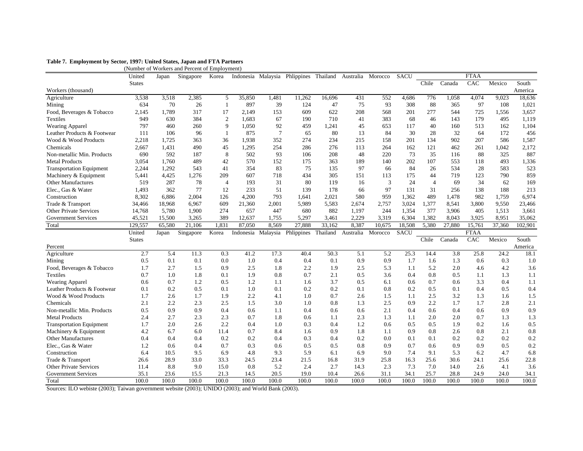|                                 | United        | Japan         | a sunovi or woneco and i creent or Employment<br>Singapore | Korea          |               |               | Indonesia Malaysia Phlippines Thailand Australia |               |               | Morocco       | <b>SACU</b>   |                |               | <b>FTAA</b>   |               |               |
|---------------------------------|---------------|---------------|------------------------------------------------------------|----------------|---------------|---------------|--------------------------------------------------|---------------|---------------|---------------|---------------|----------------|---------------|---------------|---------------|---------------|
|                                 | <b>States</b> |               |                                                            |                |               |               |                                                  |               |               |               |               | Chile          | Canada        | CAC           | Mexico        | South         |
| Workers (thousand)              |               |               |                                                            |                |               |               |                                                  |               |               |               |               |                |               |               |               | America       |
| Agriculture                     | 3,538         | 3,518         | 2,385                                                      | 5              | 35,850        | 1,481         | 11,262                                           | 16,696        | 431           | 552           | 4,686         | 776            | 1,058         | 4,074         | 9,023         | 18,636        |
| Mining                          | 634           | 70            | 26                                                         | 1              | 897           | 39            | 124                                              | 47            | 75            | 93            | 308           | 88             | 365           | 97            | 108           | 1,021         |
| Food, Beverages & Tobacco       | 2,145         | 1,789         | 317                                                        | 17             | 2,149         | 153           | 609                                              | 622           | 208           | 568           | 201           | 277            | 544           | 725           | 1,556         | 3,657         |
| <b>Textiles</b>                 | 949           | 630           | 384                                                        | $\overline{2}$ | 1,683         | 67            | 190                                              | 710           | 41            | 383           | 68            | 46             | 143           | 179           | 495           | 1,119         |
| <b>Wearing Apparel</b>          | 797           | 460           | 260                                                        | 9              | 1,050         | 92            | 459                                              | 1,241         | 45            | 653           | 117           | 40             | 160           | 513           | 162           | 1,104         |
| Leather Products & Footwear     | 111           | 106           | 96                                                         | 1              | 875           | 7             | 65                                               | 80            | 13            | 84            | 30            | 28             | 32            | 64            | 172           | 456           |
| Wood & Wood Products            | 2,218         | 1,725         | 363                                                        | 36             | 1,938         | 352           | 274                                              | 234           | 215           | 158           | 201           | 134            | 902           | 207           | 586           | 1,587         |
| Chemicals                       | 2,667         | 1,431         | 490                                                        | 45             | 1,295         | 254           | 286                                              | 276           | 113           | 264           | 162           | 121            | 462           | 261           | 1,042         | 2,172         |
| Non-metallic Min. Products      | 690           | 592           | 187                                                        | 8              | 502           | 93            | 106                                              | 208           | 48            | 220           | 73            | 35             | 116           | 88            | 325           | 887           |
| <b>Metal Products</b>           | 3,054         | 1,760         | 489                                                        | 42             | 570           | 152           | 175                                              | 363           | 189           | 140           | 202           | 107            | 553           | 118           | 493           | 1,336         |
| <b>Transportation Equipment</b> | 2,244         | 1,292         | 543                                                        | 41             | 354           | 83            | 75                                               | 135           | 97            | 66            | 84            | 26             | 534           | 28            | 583           | 523           |
| Machinery & Equipment           | 5,441         | 4,425         | 1,276                                                      | 209            | 607           | 718           | 434                                              | 305           | 151           | 113           | 175           | 44             | 719           | 123           | 790           | 859           |
| <b>Other Manufactures</b>       | 519           | 287           | 78                                                         | $\overline{4}$ | 193           | 31            | 80                                               | 119           | 16            | 3             | 24            | $\overline{4}$ | 69            | 34            | 62            | 169           |
| Elec., Gas & Water              | 1,493         | 362           | 77                                                         | 12             | 233           | 51            | 139                                              | 178           | 66            | 97            | 131           | 31             | 256           | 138           | 188           | 213           |
| Construction                    | 8,302         | 6,886         | 2,004                                                      | 126            | 4,200         | 793           | 1,641                                            | 2,021         | 580           | 959           | 1,362         | 489            | 1,478         | 982           | 1,759         | 6,974         |
| Trade & Transport               | 34,466        | 18,968        | 6,967                                                      | 609            | 21,360        | 2,001         | 5,989                                            | 5,583         | 2,674         | 2,757         | 3,024         | 1,377          | 8,541         | 3,800         | 9,550         | 23,466        |
| <b>Other Private Services</b>   | 14,768        | 5,780         | 1,900                                                      | 274            | 657           | 447           | 680                                              | 882           | 1,197         | 244           | 1,354         | 377            | 3,906         | 405           | 1,513         | 3,661         |
| <b>Government Services</b>      | 45,521        | 15,500        | 3,265                                                      | 389            | 12,637        | 1,755         | 5,297                                            | 3,461         | 2,229         | 3,319         | 6,304         | 1,382          | 8,043         | 3,925         | 8,951         | 35,062        |
| Total                           | 129,557       | 65,580        | 21,106                                                     | 1,831          | 87,050        | 8,569         | 27,888                                           | 33,162        | 8,387         | 10,675        | 18,508        | 5,380          | 27,880        | 15,761        | 37,360        | 102,901       |
|                                 | United        | Japan         | Singapore                                                  | Korea          |               |               | Indonesia Malaysia Phlippines Thailand           |               | Australia     | Morocco       | <b>SACU</b>   |                |               | <b>FTAA</b>   |               |               |
|                                 | <b>States</b> |               |                                                            |                |               |               |                                                  |               |               |               |               | Chile          | Canada        | CAC           | Mexico        | South         |
| Percent                         |               |               |                                                            |                |               |               |                                                  |               |               |               |               |                |               |               |               | America       |
| Agriculture                     | 2.7           | 5.4           | 11.3                                                       | 0.3            | 41.2          | 17.3          | 40.4                                             | 50.3          | 5.1           | 5.2           | 25.3          | 14.4           | 3.8           | 25.8          | 24.2          | 18.1          |
| Mining                          | 0.5           | 0.1           | 0.1                                                        | 0.0            | 1.0           | 0.4           | 0.4                                              | 0.1           | 0.9           | 0.9           | 1.7           | 1.6            | 1.3           | 0.6           | 0.3           | 1.0           |
| Food, Beverages & Tobacco       | 1.7           | 2.7           | 1.5                                                        | 0.9            | 2.5           | 1.8           | 2.2                                              | 1.9           | 2.5           | 5.3           | 1.1           | 5.2            | 2.0           | 4.6           | 4.2           | 3.6           |
| Textiles                        | 0.7           | 1.0           | 1.8                                                        | 0.1            | 1.9           | 0.8           | 0.7                                              | 2.1           | 0.5           | 3.6           | 0.4           | 0.8            | 0.5           | 1.1           | 1.3           | 1.1           |
| <b>Wearing Apparel</b>          | 0.6           | 0.7           | 1.2                                                        | 0.5            | 1.2           | 1.1           | 1.6                                              | 3.7           | 0.5           | 6.1           | 0.6           | 0.7            | 0.6           | 3.3           | 0.4           | 1.1           |
| Leather Products & Footwear     | 0.1           | 0.2           | 0.5                                                        | 0.1            | 1.0           | 0.1           | 0.2                                              | 0.2           | 0.1           | 0.8           | 0.2           | 0.5            | 0.1           | 0.4           | 0.5           | 0.4           |
| Wood & Wood Products            | 1.7           | 2.6           | 1.7                                                        | 1.9            | 2.2           | 4.1           | 1.0                                              | 0.7           | 2.6           | 1.5           | 1.1           | 2.5            | 3.2           | 1.3           | 1.6           | 1.5           |
| Chemicals                       | 2.1           | 2.2           | 2.3                                                        | 2.5            | 1.5           | 3.0           | 1.0                                              | 0.8           | 1.3           | 2.5           | 0.9           | 2.2            | 1.7           | 1.7           | 2.8           | 2.1           |
| Non-metallic Min. Products      | 0.5           | 0.9           | 0.9                                                        | 0.4            | 0.6           | 1.1           | 0.4                                              | 0.6           | 0.6           | 2.1           | 0.4           | 0.6            | 0.4           | 0.6           | 0.9           | 0.9           |
| <b>Metal Products</b>           | 2.4           | 2.7           | 2.3                                                        | 2.3            | 0.7           | 1.8           | 0.6                                              | 1.1           | 2.3           | 1.3           | 1.1           | 2.0            | 2.0           | 0.7           | 1.3           | 1.3           |
| <b>Transportation Equipment</b> | 1.7           | 2.0           | 2.6                                                        | 2.2            | 0.4           | 1.0           | 0.3                                              | 0.4           | 1.2           | 0.6           | 0.5           | 0.5            | 1.9           | 0.2           | 1.6           | 0.5           |
| Machinery & Equipment           | 4.2           | 6.7           | 6.0                                                        | 11.4           | 0.7           | 8.4           | 1.6                                              | 0.9           | 1.8           | 1.1           | 0.9           | 0.8            | 2.6           | 0.8           | 2.1           | 0.8           |
| <b>Other Manufactures</b>       | 0.4           | 0.4           | 0.4                                                        | 0.2            | 0.2           | 0.4           | 0.3                                              | 0.4           | 0.2           | 0.0           | 0.1           | 0.1            | 0.2           | 0.2           | 0.2           | 0.2           |
| Elec., Gas & Water              | 1.2           | 0.6           | 0.4                                                        | 0.7            | 0.3           | 0.6           | 0.5                                              | 0.5           | 0.8           | 0.9           | 0.7           | 0.6            | 0.9           | 0.9           | 0.5           | 0.2           |
| Construction                    | 6.4           | 10.5          | 9.5                                                        | 6.9            | 4.8           | 9.3           | 5.9                                              | 6.1           | 6.9           | 9.0           | 7.4           | 9.1            | 5.3           | 6.2           | 4.7           | 6.8           |
| Trade & Transport               | 26.6          | 28.9          | 33.0                                                       | 33.3           | 24.5          | 23.4          | 21.5                                             | 16.8          | 31.9          | 25.8          | 16.3          | 25.6           | 30.6          | 24.1          | 25.6          | 22.8          |
| <b>Other Private Services</b>   | 11.4          | 8.8           | 9.0                                                        | 15.0           | 0.8           | 5.2           | 2.4                                              | 2.7           | 14.3          | 2.3           | 7.3           | 7.0            | 14.0          | 2.6           | 4.1           | 3.6           |
|                                 |               |               |                                                            |                |               |               |                                                  |               |               |               |               |                |               |               |               |               |
| Government Services<br>Total    | 35.1<br>100.0 | 23.6<br>100.0 | 15.5<br>100.0                                              | 21.3<br>100.0  | 14.5<br>100.0 | 20.5<br>100.0 | 19.0<br>100.0                                    | 10.4<br>100.0 | 26.6<br>100.0 | 31.1<br>100.0 | 34.1<br>100.0 | 25.7<br>100.0  | 28.8<br>100.0 | 24.9<br>100.0 | 24.0<br>100.0 | 34.1<br>100.0 |

#### **Table 7. Employment by Sector, 1997: United States, Japan and FTA Partners** (Number of Workers and Percent of Employment)

Sources: ILO webiste (2003); Taiwan government website (2003); UNIDO (2003); and World Bank (2003).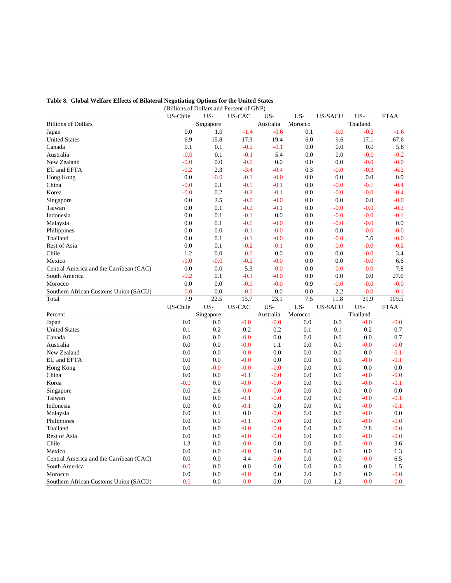|  |  |  |  |  |  |  |  | Table 8. Global Welfare Effects of Bilateral Negotiating Options for the United States |
|--|--|--|--|--|--|--|--|----------------------------------------------------------------------------------------|
|--|--|--|--|--|--|--|--|----------------------------------------------------------------------------------------|

|                                                          |               | (Billions of Dollars and Percent of GNP) |                  |            |            |                |               |                  |
|----------------------------------------------------------|---------------|------------------------------------------|------------------|------------|------------|----------------|---------------|------------------|
|                                                          | US-Chile      | US-                                      | US-CAC           | US-        | US-        | <b>US-SACU</b> | US-           | <b>FTAA</b>      |
| <b>Billions of Dollars</b>                               |               | Singapore                                |                  | Australia  | Morocco    |                | Thailand      |                  |
| Japan                                                    | 0.0           | 1.0                                      | $-1.4$           | $-0.6$     | 0.1        | $-0.0$         | $-0.2$        | $-1.6$           |
| <b>United States</b>                                     | 6.9           | 15.8                                     | 17.3             | 19.4       | 6.0        | 9.6            | 17.1          | 67.6             |
| Canada                                                   | 0.1           | 0.1                                      | $-0.2$           | $-0.1$     | 0.0        | 0.0            | $0.0\,$       | 5.8              |
| Australia                                                | $-0.0$        | 0.1                                      | $-0.1$           | 5.4        | 0.0        | 0.0            | $-0.0$        | $-0.2$           |
| New Zealand                                              | $-0.0$        | 0.0                                      | $-0.0$           | 0.0        | 0.0        | 0.0            | $-0.0$        | $-0.0$           |
| EU and EFTA                                              | $-0.2$        | 2.3                                      | $-3.4$           | $-0.4$     | 0.3        | $-0.0$         | $-0.3$        | $-6.2$           |
| Hong Kong                                                | 0.0           | $-0.0$                                   | $-0.1$           | $-0.0$     | 0.0        | 0.0            | $0.0\,$       | $0.0\,$          |
| China                                                    | $-0.0$        | 0.1                                      | $-0.5$           | $-0.1$     | 0.0        | $-0.0$         | $-0.1$        | $-0.4$           |
| Korea                                                    | $-0.0$        | 0.2                                      | $-0.2$           | $-0.1$     | 0.0        | $-0.0$         | $-0.0$        | $-0.4$           |
| Singapore                                                | 0.0           | 2.5                                      | $-0.0$           | $-0.0$     | 0.0        | 0.0            | 0.0           | $-0.0$           |
| Taiwan                                                   | 0.0           | 0.1                                      | $-0.2$           | $-0.1$     | 0.0        | $-0.0$         | $-0.0$        | $-0.2$           |
| Indonesia                                                | 0.0           | 0.1                                      | $-0.1$           | 0.0        | 0.0        | $-0.0$         | $-0.0$        | $-0.1$           |
| Malaysia                                                 | 0.0           | 0.1                                      | $-0.0$           | $-0.0$     | 0.0        | $-0.0$         | $-0.0$        | 0.0              |
| Philippines                                              | 0.0           | 0.0                                      | $-0.1$           | $-0.0$     | 0.0        | 0.0            | $-0.0$        | $-0.0$           |
| Thailand                                                 | 0.0           | 0.1                                      | $-0.1$           | $-0.0$     | 0.0        | $-0.0$         | 5.6           | $-0.0$           |
| Rest of Asia                                             | 0.0           | 0.1                                      | $-0.2$           | $-0.1$     | 0.0        | $-0.0$         | $-0.0$        | $-0.2$           |
| Chile                                                    | 1.2           | 0.0                                      | $-0.0$           | 0.0        | 0.0        | 0.0            | $-0.0$        | 3.4              |
| Mexico                                                   | $-0.0$        | $-0.0$                                   | $-0.2$           | $-0.0$     | 0.0        | 0.0            | $-0.0$        | 6.6              |
| Central America and the Carribean (CAC)                  | 0.0           | 0.0                                      | 5.3              | $-0.0$     | 0.0        | $-0.0$         | $-0.0$        | 7.8              |
| South America                                            | $-0.2$        | 0.1                                      | $-0.1$           | $-0.0$     | 0.0        | 0.0            | 0.0           | 27.6             |
| Morocco                                                  | 0.0           | 0.0                                      | $-0.0$           | $-0.0$     | 0.9        | $-0.0$         | $-0.0$        | $-0.0$           |
| Southern African Customs Union (SACU)                    | $-0.0$        | 0.0                                      | $-0.0$           | 0.0        | 0.0        | 2.2            | $-0.0$        | $-0.1$           |
| Total                                                    | 7.9           | 22.5                                     | 15.7             | 23.1       | 7.5        | 11.8           | 21.9          | 109.5            |
|                                                          | US-Chile      | US-                                      | US-CAC           | US-        | US-        | <b>US-SACU</b> | US-           | <b>FTAA</b>      |
| Percent                                                  |               | Singapore                                |                  | Australia  | Morocco    |                | Thailand      |                  |
| Japan                                                    | 0.0           | 0.0                                      | $-0.0$           | $-0.0$     | 0.0        | 0.0            | $-0.0$        | $-0.0$           |
| <b>United States</b>                                     | 0.1           | 0.2                                      | 0.2              | 0.2        | 0.1        | 0.1            | 0.2           | 0.7              |
| Canada                                                   | 0.0           | 0.0                                      | $-0.0$           | 0.0        | 0.0        | 0.0            | 0.0           | 0.7              |
| Australia                                                | 0.0           | 0.0                                      | $-0.0$           | 1.1        | 0.0        | 0.0            | $-0.0$        | $-0.0$           |
| New Zealand                                              | 0.0           | 0.0                                      | $-0.0$           | 0.0        | 0.0        | 0.0            | 0.0           | $-0.1$           |
| EU and EFTA                                              | 0.0           | 0.0                                      | $-0.0$           | 0.0        | 0.0        | 0.0            | $-0.0$        | $-0.1$           |
| Hong Kong                                                | 0.0           | $-0.0$                                   | $-0.0$           | $-0.0$     | 0.0        | 0.0            | 0.0           | 0.0              |
| China                                                    | 0.0           | 0.0                                      | $-0.1$           | $-0.0$     | 0.0        | 0.0            | $-0.0$        | $-0.0$           |
| Korea                                                    | $-0.0$        | 0.0                                      | $-0.0$           | $-0.0$     | 0.0        | 0.0            | $-0.0$        | $-0.1$           |
| Singapore                                                | 0.0           | 2.6                                      | $-0.0$           | $-0.0$     | 0.0        | 0.0            | 0.0           | 0.0              |
| Taiwan                                                   | 0.0           | 0.0                                      | $-0.1$           | $-0.0$     | 0.0        | 0.0            | $-0.0$        | $-0.1$           |
| Indonesia                                                | 0.0           | 0.0                                      | $-0.1$           | 0.0        | 0.0        | 0.0            | $-0.0$        | $-0.1$           |
| Malaysia                                                 | 0.0           | 0.1                                      | 0.0              | $-0.0$     | 0.0        | 0.0            | $-0.0$        | 0.0              |
| Philippines                                              | 0.0           | 0.0                                      | $-0.1$           | $-0.0$     | 0.0        | 0.0            | $-0.0$        | $-0.0$           |
| Thailand                                                 | 0.0           | 0.0                                      | $-0.0$           | $-0.0$     | 0.0        | 0.0            | 2.8           | $-0.0$           |
| Rest of Asia                                             | 0.0           | 0.0                                      | $-0.0$           | $-0.0$     | 0.0        | 0.0            | $-0.0$        | $-0.0$           |
| Chile                                                    | 1.3           | 0.0                                      | $-0.0$           | 0.0        | 0.0        | 0.0            | $-0.0$        | 3.6              |
| Mexico                                                   | 0.0           | 0.0                                      | $-0.0$           | 0.0        | 0.0        | 0.0            | 0.0           | 1.3              |
|                                                          | 0.0           | 0.0                                      | 4.4              | $-0.0$     | 0.0        | 0.0            | $-0.0$        | 6.5              |
| Central America and the Carribean (CAC)<br>South America | $-0.0$        | 0.0                                      |                  |            | 0.0        | 0.0            | 0.0           | 1.5              |
|                                                          |               |                                          | 0.0              | 0.0        |            |                |               |                  |
|                                                          |               |                                          |                  |            |            |                |               |                  |
| Morocco<br>Southern African Customs Union (SACU)         | 0.0<br>$-0.0$ | 0.0<br>0.0                               | $-0.0$<br>$-0.0$ | 0.0<br>0.0 | 2.0<br>0.0 | 0.0<br>1.2     | 0.0<br>$-0.0$ | $-0.0$<br>$-0.0$ |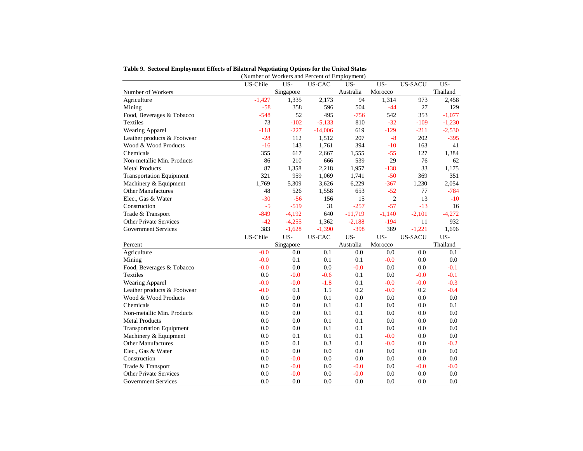|                                 |          | (Number of Workers and Percent of Employment) |               |           |                |                |          |
|---------------------------------|----------|-----------------------------------------------|---------------|-----------|----------------|----------------|----------|
|                                 | US-Chile | US-                                           | <b>US-CAC</b> | US-       | $US -$         | <b>US-SACU</b> | US-      |
| Number of Workers               |          | Singapore                                     |               | Australia | Morocco        |                | Thailand |
| Agriculture                     | $-1,427$ | 1,335                                         | 2,173         | 94        | 1,314          | 973            | 2,458    |
| Mining                          | $-58$    | 358                                           | 596           | 504       | $-44$          | 27             | 129      |
| Food, Beverages & Tobacco       | $-548$   | 52                                            | 495           | $-756$    | 542            | 353            | $-1,077$ |
| <b>Textiles</b>                 | 73       | $-102$                                        | $-5,133$      | 810       | $-32$          | $-109$         | $-1,230$ |
| <b>Wearing Apparel</b>          | $-118$   | $-227$                                        | $-14,006$     | 619       | $-129$         | $-211$         | $-2,530$ |
| Leather products & Footwear     | $-28$    | 112                                           | 1,512         | 207       | $-8$           | 202            | $-395$   |
| Wood & Wood Products            | $-16$    | 143                                           | 1,761         | 394       | $-10$          | 163            | 41       |
| Chemicals                       | 355      | 617                                           | 2,667         | 1,555     | $-55$          | 127            | 1,384    |
| Non-metallic Min. Products      | 86       | 210                                           | 666           | 539       | 29             | 76             | 62       |
| <b>Metal Products</b>           | 87       | 1,358                                         | 2,218         | 1,957     | $-138$         | 33             | 1,175    |
| <b>Transportation Equipment</b> | 321      | 959                                           | 1,069         | 1,741     | $-50$          | 369            | 351      |
| Machinery & Equipment           | 1,769    | 5,309                                         | 3,626         | 6,229     | $-367$         | 1,230          | 2,054    |
| <b>Other Manufactures</b>       | 48       | 526                                           | 1,558         | 653       | $-52$          | 77             | $-784$   |
| Elec., Gas & Water              | $-30$    | $-56$                                         | 156           | 15        | $\overline{c}$ | 13             | $-10$    |
| Construction                    | $-5$     | $-519$                                        | 31            | $-257$    | $-57$          | $-13$          | 16       |
| Trade & Transport               | $-849$   | $-4,192$                                      | 640           | $-11,719$ | $-1,140$       | $-2,101$       | $-4,272$ |
| <b>Other Private Services</b>   | $-42$    | $-4,255$                                      | 1,362         | $-2,188$  | $-194$         | 11             | 932      |
| <b>Government Services</b>      | 383      | $-1,628$                                      | $-1,390$      | $-398$    | 389            | $-1,221$       | 1,696    |
|                                 | US-Chile | US-                                           | US-CAC        | US-       | US-            | <b>US-SACU</b> | US-      |
| Percent                         |          | Singapore                                     |               | Australia | Morocco        |                | Thailand |
| Agriculture                     | $-0.0$   | 0.0                                           | 0.1           | 0.0       | 0.0            | 0.0            | 0.1      |
| Mining                          | $-0.0$   | 0.1                                           | 0.1           | 0.1       | $-0.0$         | 0.0            | 0.0      |
| Food, Beverages & Tobacco       | $-0.0$   | 0.0                                           | 0.0           | $-0.0$    | $0.0\,$        | 0.0            | $-0.1$   |
| <b>Textiles</b>                 | 0.0      | $-0.0$                                        | $-0.6$        | 0.1       | 0.0            | $-0.0$         | $-0.1$   |
| Wearing Apparel                 | $-0.0$   | $-0.0$                                        | $-1.8$        | 0.1       | $-0.0$         | $-0.0$         | $-0.3$   |
| Leather products & Footwear     | $-0.0$   | 0.1                                           | 1.5           | 0.2       | $-0.0$         | 0.2            | $-0.4$   |
| Wood & Wood Products            | 0.0      | 0.0                                           | 0.1           | 0.0       | 0.0            | 0.0            | 0.0      |
| Chemicals                       | 0.0      | 0.0                                           | 0.1           | 0.1       | 0.0            | 0.0            | 0.1      |
| Non-metallic Min. Products      | 0.0      | 0.0                                           | 0.1           | 0.1       | 0.0            | 0.0            | 0.0      |
| <b>Metal Products</b>           | 0.0      | 0.0                                           | 0.1           | 0.1       | 0.0            | 0.0            | 0.0      |
| <b>Transportation Equipment</b> | 0.0      | 0.0                                           | 0.1           | 0.1       | 0.0            | 0.0            | 0.0      |
| Machinery & Equipment           | 0.0      | 0.1                                           | 0.1           | 0.1       | $-0.0$         | 0.0            | 0.0      |
| <b>Other Manufactures</b>       | 0.0      | 0.1                                           | 0.3           | 0.1       | $-0.0$         | 0.0            | $-0.2$   |
| Elec., Gas & Water              | 0.0      | 0.0                                           | 0.0           | 0.0       | 0.0            | 0.0            | 0.0      |
| Construction                    | 0.0      | $-0.0$                                        | 0.0           | 0.0       | 0.0            | 0.0            | 0.0      |
| Trade & Transport               | 0.0      | $-0.0$                                        | 0.0           | $-0.0$    | 0.0            | $-0.0$         | $-0.0$   |
| <b>Other Private Services</b>   | 0.0      | $-0.0$                                        | 0.0           | $-0.0$    | 0.0            | 0.0            | 0.0      |
| <b>Government Services</b>      | 0.0      | 0.0                                           | 0.0           | 0.0       | 0.0            | 0.0            | 0.0      |

**Table 9. Sectoral Employment Effects of Bilateral Negotiating Options for the United States**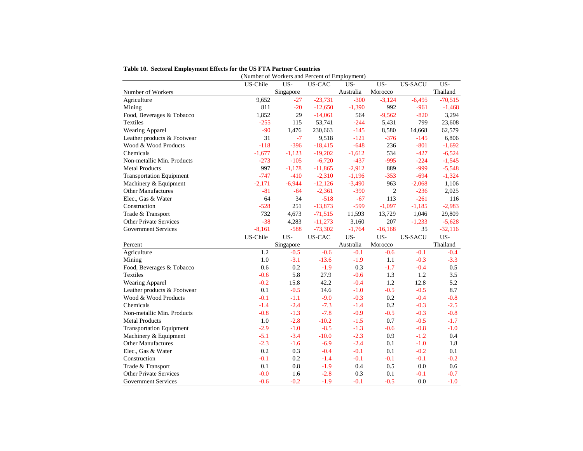|                                 |          | (Number of Workers and Percent of Employment) |               |           |           |                |           |  |
|---------------------------------|----------|-----------------------------------------------|---------------|-----------|-----------|----------------|-----------|--|
|                                 | US-Chile | US-                                           | <b>US-CAC</b> | US-       | US-       | <b>US-SACU</b> | US-       |  |
| Number of Workers               |          | Singapore                                     |               | Australia | Morocco   |                | Thailand  |  |
| Agriculture                     | 9,652    | $-27$                                         | $-23,731$     | $-300$    | $-3,124$  | $-6,495$       | $-70,515$ |  |
| Mining                          | 811      | $-20$                                         | $-12,650$     | $-1,390$  | 992       | $-961$         | $-1,468$  |  |
| Food, Beverages & Tobacco       | 1,852    | 29                                            | $-14,061$     | 564       | $-9,562$  | $-820$         | 3,294     |  |
| Textiles                        | $-255$   | 115                                           | 53,741        | $-244$    | 5,431     | 799            | 23,608    |  |
| Wearing Apparel                 | $-90$    | 1,476                                         | 230,663       | $-145$    | 8,580     | 14,668         | 62,579    |  |
| Leather products & Footwear     | 31       | $-7$                                          | 9,518         | $-121$    | $-376$    | $-145$         | 6,806     |  |
| Wood & Wood Products            | $-118$   | $-396$                                        | $-18,415$     | $-648$    | 236       | $-801$         | $-1,692$  |  |
| Chemicals                       | $-1,677$ | $-1,123$                                      | $-19,202$     | $-1,612$  | 534       | $-427$         | $-6,524$  |  |
| Non-metallic Min. Products      | $-273$   | $-105$                                        | $-6,720$      | $-437$    | $-995$    | $-224$         | $-1,545$  |  |
| <b>Metal Products</b>           | 997      | $-1,178$                                      | $-11,865$     | $-2,912$  | 889       | $-999$         | $-5,548$  |  |
| <b>Transportation Equipment</b> | $-747$   | $-410$                                        | $-2,310$      | $-1,196$  | $-353$    | $-694$         | $-1,324$  |  |
| Machinery & Equipment           | $-2,171$ | $-6,944$                                      | $-12,126$     | $-3,490$  | 963       | $-2,068$       | 1,106     |  |
| <b>Other Manufactures</b>       | $-81$    | -64                                           | $-2,361$      | $-390$    | 2         | $-236$         | 2,025     |  |
| Elec., Gas & Water              | 64       | 34                                            | $-518$        | $-67$     | 113       | $-261$         | 116       |  |
| Construction                    | $-528$   | 251                                           | $-13,873$     | $-599$    | $-1,097$  | $-1,185$       | $-2,983$  |  |
| Trade & Transport               | 732      | 4,673                                         | $-71,515$     | 11,593    | 13,729    | 1,046          | 29,809    |  |
| <b>Other Private Services</b>   | $-38$    | 4,283                                         | $-11,273$     | 3,160     | 207       | $-1,233$       | $-5,628$  |  |
| <b>Government Services</b>      | $-8,161$ | $-588$                                        | $-73,302$     | $-1,764$  | $-16,168$ | 35             | $-32,116$ |  |
|                                 | US-Chile | US-                                           | US-CAC        | US-       | US-       | <b>US-SACU</b> | US-       |  |
| Percent                         |          | Singapore                                     |               | Australia | Morocco   |                | Thailand  |  |
| Agriculture                     | 1.2      | $-0.5$                                        | $-0.6$        | $-0.1$    | $-0.6$    | $-0.1$         | $-0.4$    |  |
| Mining                          | 1.0      | $-3.1$                                        | $-13.6$       | $-1.9$    | 1.1       | $-0.3$         | $-3.3$    |  |
| Food, Beverages & Tobacco       | 0.6      | 0.2                                           | $-1.9$        | 0.3       | $-1.7$    | $-0.4$         | 0.5       |  |
| Textiles                        | $-0.6$   | 5.8                                           | 27.9          | $-0.6$    | 1.3       | 1.2            | 3.5       |  |
| <b>Wearing Apparel</b>          | $-0.2$   | 15.8                                          | 42.2          | $-0.4$    | 1.2       | 12.8           | 5.2       |  |
| Leather products & Footwear     | 0.1      | $-0.5$                                        | 14.6          | $-1.0$    | $-0.5$    | $-0.5$         | 8.7       |  |
| Wood & Wood Products            | $-0.1$   | $-1.1$                                        | $-9.0$        | $-0.3$    | 0.2       | $-0.4$         | $-0.8$    |  |
| Chemicals                       | $-1.4$   | $-2.4$                                        | $-7.3$        | $-1.4$    | 0.2       | $-0.3$         | $-2.5$    |  |
| Non-metallic Min. Products      | $-0.8$   | $-1.3$                                        | $-7.8$        | $-0.9$    | $-0.5$    | $-0.3$         | $-0.8$    |  |
| <b>Metal Products</b>           | 1.0      | $-2.8$                                        | $-10.2$       | $-1.5$    | 0.7       | $-0.5$         | $-1.7$    |  |
| <b>Transportation Equipment</b> | $-2.9$   | $-1.0$                                        | $-8.5$        | $-1.3$    | $-0.6$    | $-0.8$         | $-1.0$    |  |
| Machinery & Equipment           | $-5.1$   | $-3.4$                                        | $-10.0$       | $-2.3$    | 0.9       | $-1.2$         | 0.4       |  |
| <b>Other Manufactures</b>       | $-2.3$   | $-1.6$                                        | $-6.9$        | $-2.4$    | 0.1       | $-1.0$         | 1.8       |  |
| Elec., Gas & Water              | 0.2      | 0.3                                           | $-0.4$        | $-0.1$    | 0.1       | $-0.2$         | 0.1       |  |
| Construction                    | $-0.1$   | 0.2                                           | $-1.4$        | $-0.1$    | $-0.1$    | $-0.1$         | $-0.2$    |  |
| Trade & Transport               | 0.1      | 0.8                                           | $-1.9$        | 0.4       | 0.5       | 0.0            | 0.6       |  |
| <b>Other Private Services</b>   | $-0.0$   | 1.6                                           | $-2.8$        | 0.3       | 0.1       | $-0.1$         | $-0.7$    |  |
| <b>Government Services</b>      | $-0.6$   | $-0.2$                                        | $-1.9$        | $-0.1$    | $-0.5$    | 0.0            | $-1.0$    |  |

**Table 10. Sectoral Employment Effects for the US FTA Partner Countries**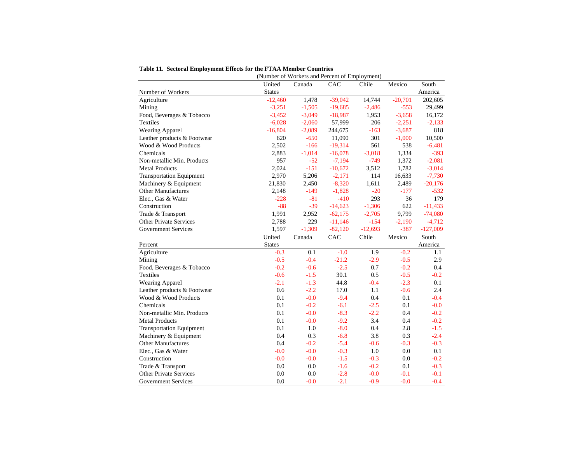| (Number of Workers and Percent of Employment) |               |          |           |           |           |            |  |  |  |  |  |
|-----------------------------------------------|---------------|----------|-----------|-----------|-----------|------------|--|--|--|--|--|
|                                               | United        | Canada   | CAC       | Chile     | Mexico    | South      |  |  |  |  |  |
| Number of Workers                             | <b>States</b> |          |           |           |           | America    |  |  |  |  |  |
| Agriculture                                   | $-12,460$     | 1,478    | $-39,042$ | 14,744    | $-20,701$ | 202,605    |  |  |  |  |  |
| Mining                                        | $-3,251$      | $-1,505$ | $-19,685$ | $-2,486$  | $-553$    | 29,499     |  |  |  |  |  |
| Food, Beverages & Tobacco                     | $-3,452$      | $-3,049$ | $-18,987$ | 1,953     | $-3,658$  | 16,172     |  |  |  |  |  |
| <b>Textiles</b>                               | $-6,028$      | $-2,060$ | 57,999    | 206       | $-2,251$  | $-2,133$   |  |  |  |  |  |
| <b>Wearing Apparel</b>                        | $-16,804$     | $-2,089$ | 244,675   | $-163$    | $-3,687$  | 818        |  |  |  |  |  |
| Leather products & Footwear                   | 620           | $-650$   | 11,090    | 301       | $-1,000$  | 10,500     |  |  |  |  |  |
| Wood & Wood Products                          | 2,502         | $-166$   | $-19,314$ | 561       | 538       | $-6,481$   |  |  |  |  |  |
| Chemicals                                     | 2,883         | $-1,014$ | $-16,078$ | $-3,018$  | 1,334     | $-393$     |  |  |  |  |  |
| Non-metallic Min. Products                    | 957           | $-52$    | $-7,194$  | $-749$    | 1,372     | $-2,081$   |  |  |  |  |  |
| <b>Metal Products</b>                         | 2,024         | $-151$   | $-10,672$ | 3,512     | 1,782     | $-3,014$   |  |  |  |  |  |
| <b>Transportation Equipment</b>               | 2,970         | 5,206    | $-2,171$  | 114       | 16,633    | $-7,730$   |  |  |  |  |  |
| Machinery & Equipment                         | 21,830        | 2,450    | $-8,320$  | 1,611     | 2,489     | $-20,176$  |  |  |  |  |  |
| <b>Other Manufactures</b>                     | 2,148         | $-149$   | $-1,828$  | $-20$     | $-177$    | $-532$     |  |  |  |  |  |
| Elec., Gas & Water                            | $-228$        | $-81$    | $-410$    | 293       | 36        | 179        |  |  |  |  |  |
| Construction                                  | $-88$         | $-39$    | $-14,623$ | $-1,306$  | 622       | $-11,433$  |  |  |  |  |  |
| Trade & Transport                             | 1,991         | 2,952    | $-62,175$ | $-2,705$  | 9,799     | $-74,080$  |  |  |  |  |  |
| <b>Other Private Services</b>                 | 2,788         | 229      | $-11,146$ | $-154$    | $-2,190$  | $-4,712$   |  |  |  |  |  |
| <b>Government Services</b>                    | 1,597         | $-1,309$ | $-82,120$ | $-12,693$ | $-387$    | $-127,009$ |  |  |  |  |  |
|                                               | United        | Canada   | CAC       | Chile     | Mexico    | South      |  |  |  |  |  |
| Percent                                       | <b>States</b> |          |           |           |           | America    |  |  |  |  |  |
| Agriculture                                   | $-0.3$        | 0.1      | $-1.0$    | 1.9       | $-0.2$    | 1.1        |  |  |  |  |  |
| Mining                                        | $-0.5$        | $-0.4$   | $-21.2$   | $-2.9$    | $-0.5$    | 2.9        |  |  |  |  |  |
| Food, Beverages & Tobacco                     | $-0.2$        | $-0.6$   | $-2.5$    | 0.7       | $-0.2$    | 0.4        |  |  |  |  |  |
| <b>Textiles</b>                               | $-0.6$        | $-1.5$   | 30.1      | 0.5       | $-0.5$    | $-0.2$     |  |  |  |  |  |
| <b>Wearing Apparel</b>                        | $-2.1$        | $-1.3$   | 44.8      | $-0.4$    | $-2.3$    | 0.1        |  |  |  |  |  |
| Leather products & Footwear                   | 0.6           | $-2.2$   | 17.0      | 1.1       | $-0.6$    | 2.4        |  |  |  |  |  |
| Wood & Wood Products                          | 0.1           | $-0.0$   | $-9.4$    | 0.4       | 0.1       | $-0.4$     |  |  |  |  |  |
| Chemicals                                     | 0.1           | $-0.2$   | $-6.1$    | $-2.5$    | 0.1       | $-0.0$     |  |  |  |  |  |
| Non-metallic Min. Products                    | 0.1           | $-0.0$   | $-8.3$    | $-2.2$    | 0.4       | $-0.2$     |  |  |  |  |  |
| <b>Metal Products</b>                         | 0.1           | $-0.0$   | $-9.2$    | 3.4       | 0.4       | $-0.2$     |  |  |  |  |  |
| <b>Transportation Equipment</b>               | 0.1           | 1.0      | $-8.0$    | 0.4       | 2.8       | $-1.5$     |  |  |  |  |  |
| Machinery & Equipment                         | 0.4           | 0.3      | $-6.8$    | 3.8       | 0.3       | $-2.4$     |  |  |  |  |  |
| <b>Other Manufactures</b>                     | 0.4           | $-0.2$   | $-5.4$    | $-0.6$    | $-0.3$    | $-0.3$     |  |  |  |  |  |
| Elec., Gas & Water                            | $-0.0$        | $-0.0$   | $-0.3$    | 1.0       | 0.0       | 0.1        |  |  |  |  |  |
| Construction                                  | $-0.0$        | $-0.0$   | $-1.5$    | $-0.3$    | 0.0       | $-0.2$     |  |  |  |  |  |
| Trade & Transport                             | 0.0           | 0.0      | $-1.6$    | $-0.2$    | 0.1       | $-0.3$     |  |  |  |  |  |
| <b>Other Private Services</b>                 | 0.0           | 0.0      | $-2.8$    | $-0.0$    | $-0.1$    | $-0.1$     |  |  |  |  |  |
| <b>Government Services</b>                    | 0.0           | $-0.0$   | $-2.1$    | $-0.9$    | $-0.0$    | $-0.4$     |  |  |  |  |  |

**Table 11. Sectoral Employment Effects for the FTAA Member Countries**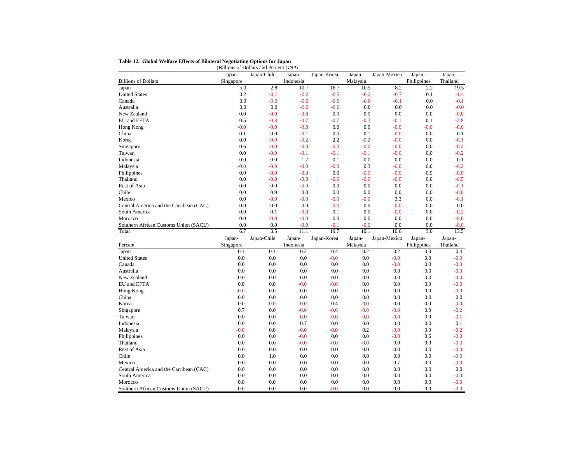| (Billions of Dollars and Percent GNP)          |                  |             |                  |                |                 |              |                    |                    |  |  |  |  |  |
|------------------------------------------------|------------------|-------------|------------------|----------------|-----------------|--------------|--------------------|--------------------|--|--|--|--|--|
|                                                | Japan-           | Japan-Chile | Japan-           | Japan-Korea    | Japan-          | Japan-Mexico | Japan-             | Japan-             |  |  |  |  |  |
| <b>Billions of Dollars</b>                     | Singapore        |             | Indonesia        |                | Malaysia        |              | Philippines        | Thailand           |  |  |  |  |  |
| Japan                                          | 5.0              | 2.8         | 10.7             | 18.7           | 10.5            | 8.2          | 2.2                | 19.5               |  |  |  |  |  |
| <b>United States</b>                           | 0.2              | $-0.1$      | $-0.2$           | $-0.5$         | $-0.2$          | $-0.7$       | 0.1                | $-1.4$             |  |  |  |  |  |
| Canada                                         | 0.0              | $-0.0$      | $-0.0$           | $-0.0$         | $-0.0$          | $-0.1$       | 0.0                | $-0.1$             |  |  |  |  |  |
| Australia                                      | 0.0              | 0.0         | $-0.0$           | $-0.0$         | 0.0             | 0.0          | 0.0                | $-0.0$             |  |  |  |  |  |
| New Zealand                                    | 0.0              | $-0.0$      | $-0.0$           | 0.0            | 0.0             | 0.0          | 0.0                | $-0.0$             |  |  |  |  |  |
| <b>EU</b> and <b>EFTA</b>                      | 0.5              | $-0.3$      | $-0.7$           | $-0.7$         | $-0.3$          | $-0.1$       | 0.1                | $-2.8$             |  |  |  |  |  |
| Hong Kong                                      | $-0.0$           | $-0.0$      | $-0.0$           | 0.0            | 0.0             | $-0.0$       | $-0.0$             | $-0.0$             |  |  |  |  |  |
| China                                          | 0.1              | 0.0         | $-0.1$           | 0.0            | 0.1             | $-0.0$       | 0.0                | 0.1                |  |  |  |  |  |
| Korea                                          | 0.0              | $-0.0$      | $-0.2$           | 2.2            | $-0.2$          | $-0.0$       | 0.0                | $-0.1$             |  |  |  |  |  |
| Singapore                                      | 0.6              | $-0.0$      | $-0.0$           | $-0.0$         | $-0.0$          | $-0.0$       | 0.0                | $-0.2$             |  |  |  |  |  |
| Taiwan                                         | 0.0              | $-0.0$      | $-0.1$           | $-0.1$         | $-0.1$          | $-0.0$       | 0.0                | $-0.2$             |  |  |  |  |  |
| Indonesia                                      | 0.0              | 0.0         | 1.7              | 0.1            | 0.0             | 0.0          | 0.0                | 0.1                |  |  |  |  |  |
| Malaysia                                       | $-0.0$           | $-0.0$      | $-0.0$           | $-0.0$         | 0.3             | $-0.0$       | 0.0                | $-0.2$             |  |  |  |  |  |
| Philippines                                    | 0.0              | $-0.0$      | $-0.0$           | 0.0            | $-0.0$          | $-0.0$       | 0.5                | $-0.0$             |  |  |  |  |  |
| Thailand                                       | 0.0              | $-0.0$      | $-0.0$           | $-0.0$         | $-0.0$          | $-0.0$       | 0.0                | $-0.5$             |  |  |  |  |  |
| Rest of Asia                                   | 0.0              | 0.0         | $-0.0$           | 0.0            | 0.0             | 0.0          | 0.0                | $-0.1$             |  |  |  |  |  |
| Chile                                          | 0.0              | 0.9         | 0.0              | 0.0            | 0.0             | 0.0          | 0.0                | $-0.0$             |  |  |  |  |  |
| Mexico                                         | 0.0              | $-0.0$      | $-0.0$           | $-0.0$         | $-0.0$          | 3.3          | 0.0                | $-0.1$             |  |  |  |  |  |
| Central America and the Carribean (CAC)        | 0.0              | 0.0         | 0.0              | $-0.0$         | 0.0             | $-0.0$       | 0.0                | 0.0                |  |  |  |  |  |
| South America                                  | 0.0              | 0.1         | $-0.0$           | 0.1            | 0.0             | $-0.0$       | 0.0                | $-0.2$             |  |  |  |  |  |
| Morocco                                        | 0.0              | $-0.0$      | $-0.0$           | 0.0            | 0.0             | 0.0          | 0.0                | $-0.0$             |  |  |  |  |  |
|                                                |                  |             |                  |                |                 |              |                    |                    |  |  |  |  |  |
| Southern African Customs Union (SACU)<br>Total | 0.0<br>6.7       | 0.0<br>3.5  | $-0.0$<br>11.1   | $-0.1$<br>19.7 | $-0.0$<br>10.1  | 0.0<br>10.6  | 0.0<br>3.0         | $-0.0$<br>13.5     |  |  |  |  |  |
|                                                |                  |             |                  |                |                 |              |                    |                    |  |  |  |  |  |
|                                                | Japan-           | Japan-Chile | Japan-           | Japan-Korea    | Japan-          | Japan-Mexico | Japan-             | Japan-<br>Thailand |  |  |  |  |  |
| Percent                                        | Singapore<br>0.1 | 0.1         | Indonesia<br>0.2 | 0.4            | Malaysia<br>0.2 | 0.2          | Philippines<br>0.0 | 0.4                |  |  |  |  |  |
| Japan                                          |                  |             |                  |                |                 |              |                    |                    |  |  |  |  |  |
| <b>United States</b>                           | 0.0              | 0.0         | 0.0              | $-0.0$         | 0.0             | $-0.0$       | 0.0                | $-0.0$             |  |  |  |  |  |
| Canada                                         | 0.0              | 0.0         | 0.0              | 0.0            | 0.0             | $-0.0$       | 0.0                | $-0.0$             |  |  |  |  |  |
| Australia                                      | 0.0              | 0.0         | 0.0              | 0.0            | 0.0             | 0.0          | 0.0                | $-0.0$             |  |  |  |  |  |
| New Zealand                                    | 0.0              | 0.0         | 0.0              | 0.0            | 0.0             | 0.0          | 0.0                | $-0.0$             |  |  |  |  |  |
| <b>EU</b> and <b>EFTA</b>                      | 0.0              | 0.0         | $-0.0$           | $-0.0$         | 0.0             | 0.0          | 0.0                | $-0.0$             |  |  |  |  |  |
| Hong Kong                                      | $-0.0$           | 0.0         | 0.0              | 0.0            | 0.0             | 0.0          | 0.0                | $-0.0$             |  |  |  |  |  |
| China                                          | 0.0              | 0.0         | 0.0              | 0.0            | 0.0             | 0.0          | 0.0                | 0.0                |  |  |  |  |  |
| Korea                                          | 0.0              | $-0.0$      | $-0.0$           | 0.4            | $-0.0$          | 0.0          | 0.0                | $-0.0$             |  |  |  |  |  |
| Singapore                                      | 0.7              | 0.0         | $-0.0$           | $-0.0$         | $-0.0$          | $-0.0$       | 0.0                | $-0.2$             |  |  |  |  |  |
| Taiwan                                         | 0.0              | 0.0         | $-0.0$           | $-0.0$         | $-0.0$          | $-0.0$       | 0.0                | $-0.1$             |  |  |  |  |  |
| Indonesia                                      | 0.0              | 0.0         | 0.7              | 0.0            | 0.0             | 0.0          | 0.0                | 0.1                |  |  |  |  |  |
| Malaysia                                       | $-0.0$           | 0.0         | $-0.0$           | $-0.0$         | 0.2             | $-0.0$       | 0.0                | $-0.2$             |  |  |  |  |  |
| Philippines                                    | 0.0              | 0.0         | $-0.0$           | 0.0            | 0.0             | $-0.0$       | 0.6                | $-0.0$             |  |  |  |  |  |
| Thailand                                       | 0.0              | 0.0         | $-0.0$           | $-0.0$         | $-0.0$          | 0.0          | 0.0                | $-0.3$             |  |  |  |  |  |
| Rest of Asia                                   | 0.0              | 0.0         | 0.0              | 0.0            | 0.0             | 0.0          | 0.0                | $-0.0$             |  |  |  |  |  |
| Chile                                          | 0.0              | 1.0         | 0.0              | 0.0            | 0.0             | 0.0          | 0.0                | $-0.0$             |  |  |  |  |  |
| Mexico                                         | 0.0              | 0.0         | 0.0              | 0.0            | 0.0             | 0.7          | 0.0                | $-0.0$             |  |  |  |  |  |
| Central America and the Carribean (CAC)        | 0.0              | 0.0         | 0.0              | 0.0            | 0.0             | 0.0          | 0.0                | 0.0                |  |  |  |  |  |
| South America                                  | 0.0              | 0.0         | 0.0              | 0.0            | 0.0             | 0.0          | 0.0                | $-0.0$             |  |  |  |  |  |
| Morocco                                        | 0.0              | 0.0         | 0.0              | 0.0            | 0.0             | 0.0          | 0.0                | $-0.0$             |  |  |  |  |  |
|                                                |                  |             |                  |                |                 |              |                    |                    |  |  |  |  |  |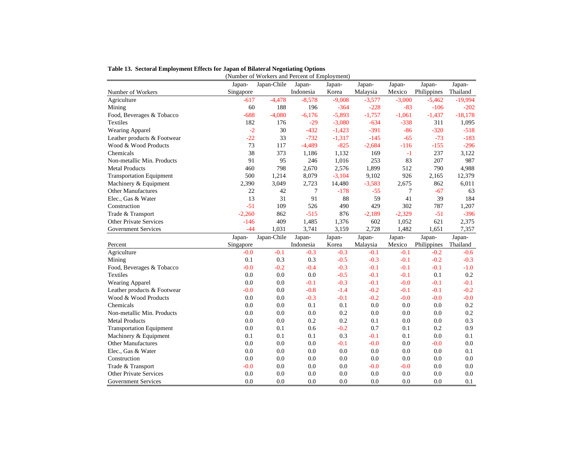| (Number of Workers and Percent of Employment) |           |             |           |          |          |          |             |           |  |  |  |  |  |
|-----------------------------------------------|-----------|-------------|-----------|----------|----------|----------|-------------|-----------|--|--|--|--|--|
|                                               | Japan-    | Japan-Chile | Japan-    | Japan-   | Japan-   | Japan-   | Japan-      | Japan-    |  |  |  |  |  |
| Number of Workers                             | Singapore |             | Indonesia | Korea    | Malaysia | Mexico   | Philippines | Thailand  |  |  |  |  |  |
| Agriculture                                   | $-617$    | $-4,478$    | $-8,578$  | $-9,008$ | $-3,577$ | $-3,000$ | $-5,462$    | $-19,994$ |  |  |  |  |  |
| Mining                                        | 60        | 188         | 196       | $-364$   | $-228$   | $-83$    | $-106$      | $-202$    |  |  |  |  |  |
| Food, Beverages & Tobacco                     | $-688$    | $-4,080$    | $-6,176$  | $-5,893$ | $-1,757$ | $-1,061$ | $-1,437$    | $-18,178$ |  |  |  |  |  |
| <b>Textiles</b>                               | 182       | 176         | $-29$     | $-3,080$ | $-634$   | $-338$   | 311         | 1,095     |  |  |  |  |  |
| Wearing Apparel                               | $-2$      | 30          | $-432$    | $-1,423$ | $-391$   | $-86$    | $-320$      | $-518$    |  |  |  |  |  |
| Leather products & Footwear                   | $-22$     | 33          | $-732$    | $-1,317$ | $-145$   | $-65$    | $-73$       | $-183$    |  |  |  |  |  |
| Wood & Wood Products                          | 73        | 117         | $-4,489$  | $-825$   | $-2,684$ | $-116$   | $-155$      | $-296$    |  |  |  |  |  |
| Chemicals                                     | 38        | 373         | 1,186     | 1,132    | 169      | $-1$     | 237         | 3,122     |  |  |  |  |  |
| Non-metallic Min. Products                    | 91        | 95          | 246       | 1,016    | 253      | 83       | 207         | 987       |  |  |  |  |  |
| <b>Metal Products</b>                         | 460       | 798         | 2,670     | 2,576    | 1,899    | 512      | 790         | 4,988     |  |  |  |  |  |
| <b>Transportation Equipment</b>               | 500       | 1,214       | 8,079     | $-3,104$ | 9,102    | 926      | 2,165       | 12,379    |  |  |  |  |  |
| Machinery & Equipment                         | 2,390     | 3,049       | 2,723     | 14,480   | $-3,583$ | 2,675    | 862         | 6,011     |  |  |  |  |  |
| <b>Other Manufactures</b>                     | 22        | 42          | 7         | $-178$   | $-55$    | 7        | $-67$       | 63        |  |  |  |  |  |
| Elec., Gas & Water                            | 13        | 31          | 91        | 88       | 59       | 41       | 39          | 184       |  |  |  |  |  |
| Construction                                  | $-51$     | 109         | 526       | 490      | 429      | 302      | 787         | 1,207     |  |  |  |  |  |
| Trade & Transport                             | $-2,260$  | 862         | $-515$    | 876      | $-2,189$ | $-2,329$ | $-51$       | $-396$    |  |  |  |  |  |
| <b>Other Private Services</b>                 | $-146$    | 409         | 1,485     | 1,376    | 602      | 1,052    | 621         | 2,375     |  |  |  |  |  |
| <b>Government Services</b>                    | $-44$     | 1,031       | 3,741     | 3,159    | 2,728    | 1,482    | 1,651       | 7,357     |  |  |  |  |  |
|                                               | Japan-    | Japan-Chile | Japan-    | Japan-   | Japan-   | Japan-   | Japan-      | Japan-    |  |  |  |  |  |
| Percent                                       | Singapore |             | Indonesia | Korea    | Malaysia | Mexico   | Philippines | Thailand  |  |  |  |  |  |
| Agriculture                                   | $-0.0$    | $-0.1$      | $-0.3$    | $-0.3$   | $-0.1$   | $-0.1$   | $-0.2$      | $-0.6$    |  |  |  |  |  |
| Mining                                        | 0.1       | 0.3         | 0.3       | $-0.5$   | $-0.3$   | $-0.1$   | $-0.2$      | $-0.3$    |  |  |  |  |  |
| Food, Beverages & Tobacco                     | $-0.0$    | $-0.2$      | $-0.4$    | $-0.3$   | $-0.1$   | $-0.1$   | $-0.1$      | $-1.0$    |  |  |  |  |  |
| <b>Textiles</b>                               | 0.0       | 0.0         | 0.0       | $-0.5$   | $-0.1$   | $-0.1$   | 0.1         | 0.2       |  |  |  |  |  |
| <b>Wearing Apparel</b>                        | 0.0       | 0.0         | $-0.1$    | $-0.3$   | $-0.1$   | $-0.0$   | $-0.1$      | $-0.1$    |  |  |  |  |  |
| Leather products & Footwear                   | $-0.0$    | 0.0         | $-0.8$    | $-1.4$   | $-0.2$   | $-0.1$   | $-0.1$      | $-0.2$    |  |  |  |  |  |
| Wood & Wood Products                          | 0.0       | $0.0\,$     | $-0.3$    | $-0.1$   | $-0.2$   | $-0.0$   | $-0.0$      | $-0.0$    |  |  |  |  |  |
| Chemicals                                     | 0.0       | 0.0         | 0.1       | 0.1      | 0.0      | 0.0      | 0.0         | 0.2       |  |  |  |  |  |
| Non-metallic Min. Products                    | 0.0       | 0.0         | 0.0       | 0.2      | 0.0      | 0.0      | 0.0         | 0.2       |  |  |  |  |  |
| <b>Metal Products</b>                         | 0.0       | 0.0         | 0.2       | 0.2      | 0.1      | 0.0      | 0.0         | 0.3       |  |  |  |  |  |
| <b>Transportation Equipment</b>               | 0.0       | 0.1         | 0.6       | $-0.2$   | 0.7      | 0.1      | 0.2         | 0.9       |  |  |  |  |  |
| Machinery & Equipment                         | 0.1       | 0.1         | 0.1       | 0.3      | $-0.1$   | 0.1      | 0.0         | 0.1       |  |  |  |  |  |
| <b>Other Manufactures</b>                     | 0.0       | 0.0         | 0.0       | $-0.1$   | $-0.0$   | 0.0      | $-0.0$      | 0.0       |  |  |  |  |  |
| Elec., Gas & Water                            | 0.0       | 0.0         | 0.0       | 0.0      | 0.0      | 0.0      | 0.0         | 0.1       |  |  |  |  |  |
| Construction                                  | 0.0       | 0.0         | 0.0       | 0.0      | 0.0      | 0.0      | 0.0         | 0.0       |  |  |  |  |  |
| Trade & Transport                             | $-0.0$    | 0.0         | 0.0       | 0.0      | $-0.0$   | $-0.0$   | 0.0         | 0.0       |  |  |  |  |  |
| <b>Other Private Services</b>                 | 0.0       | 0.0         | 0.0       | 0.0      | 0.0      | 0.0      | 0.0         | 0.0       |  |  |  |  |  |
| Government Services                           | 0.0       | 0.0         | 0.0       | 0.0      | 0.0      | 0.0      | 0.0         | 0.1       |  |  |  |  |  |

**Table 13. Sectoral Employment Effects for Japan of Bilateral Negotiating Options**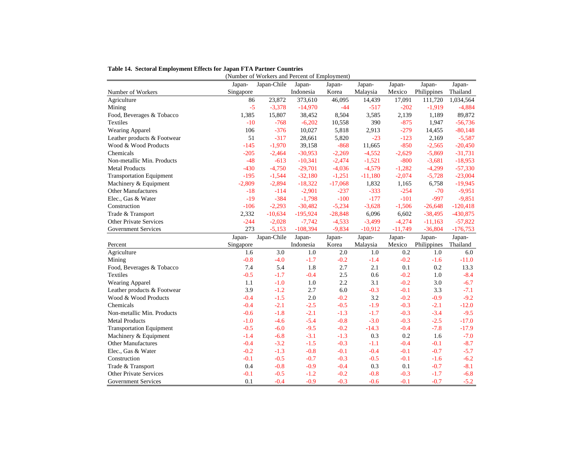| (Number of Workers and Percent of Employment) |           |             |            |           |           |           |             |            |  |  |  |  |  |
|-----------------------------------------------|-----------|-------------|------------|-----------|-----------|-----------|-------------|------------|--|--|--|--|--|
|                                               | Japan-    | Japan-Chile | Japan-     | Japan-    | Japan-    | Japan-    | Japan-      | Japan-     |  |  |  |  |  |
| Number of Workers                             | Singapore |             | Indonesia  | Korea     | Malaysia  | Mexico    | Philippines | Thailand   |  |  |  |  |  |
| Agriculture                                   | 86        | 23,872      | 373,610    | 46,095    | 14,439    | 17,091    | 111,720     | 1,034,564  |  |  |  |  |  |
| Mining                                        | $-5$      | $-3,378$    | $-14,970$  | $-44$     | $-517$    | $-202$    | $-1,919$    | $-4,884$   |  |  |  |  |  |
| Food, Beverages & Tobacco                     | 1,385     | 15,807      | 38,452     | 8,504     | 3,585     | 2,139     | 1,189       | 89,872     |  |  |  |  |  |
| Textiles                                      | $-10$     | $-768$      | $-6,202$   | 10,558    | 390       | $-875$    | 1,947       | $-56,736$  |  |  |  |  |  |
| Wearing Apparel                               | 106       | $-376$      | 10,027     | 5,818     | 2,913     | $-279$    | 14,455      | $-80,148$  |  |  |  |  |  |
| Leather products & Footwear                   | 51        | $-317$      | 28,661     | 5,820     | $-23$     | $-123$    | 2,169       | $-5,587$   |  |  |  |  |  |
| Wood & Wood Products                          | $-145$    | $-1,970$    | 39,158     | $-868$    | 11,665    | $-850$    | $-2,565$    | $-20,450$  |  |  |  |  |  |
| Chemicals                                     | $-205$    | $-2,464$    | $-30,953$  | $-2,269$  | $-4,552$  | $-2,629$  | $-5,869$    | $-31,731$  |  |  |  |  |  |
| Non-metallic Min. Products                    | $-48$     | $-613$      | $-10,341$  | $-2,474$  | $-1,521$  | $-800$    | $-3,681$    | $-18,953$  |  |  |  |  |  |
| <b>Metal Products</b>                         | $-430$    | $-4,750$    | $-29,701$  | $-4,036$  | $-4,579$  | $-1,282$  | $-4,299$    | $-57,330$  |  |  |  |  |  |
| <b>Transportation Equipment</b>               | $-195$    | $-1,544$    | $-32,180$  | $-1,251$  | $-11,180$ | $-2,074$  | $-5,728$    | $-23,004$  |  |  |  |  |  |
| Machinery & Equipment                         | $-2,809$  | $-2,894$    | $-18,322$  | $-17,068$ | 1,832     | 1,165     | 6,758       | $-19,945$  |  |  |  |  |  |
| <b>Other Manufactures</b>                     | $-18$     | $-114$      | $-2,901$   | $-237$    | $-333$    | $-254$    | $-70$       | $-9,951$   |  |  |  |  |  |
| Elec., Gas & Water                            | $-19$     | $-384$      | $-1,798$   | $-100$    | $-177$    | $-101$    | $-997$      | $-9,851$   |  |  |  |  |  |
| Construction                                  | $-106$    | $-2,293$    | $-30,482$  | $-5,234$  | $-3,628$  | $-1,506$  | $-26,648$   | $-120,418$ |  |  |  |  |  |
| Trade & Transport                             | 2,332     | $-10,634$   | $-195,924$ | $-28,848$ | 6,096     | 6,602     | $-38,495$   | $-430,875$ |  |  |  |  |  |
| <b>Other Private Services</b>                 | $-244$    | $-2,028$    | $-7,742$   | $-4,533$  | $-3,499$  | $-4,274$  | $-11,163$   | $-57,822$  |  |  |  |  |  |
| <b>Government Services</b>                    | 273       | $-5,153$    | $-108,394$ | $-9,834$  | $-10,912$ | $-11,749$ | $-36,804$   | $-176,753$ |  |  |  |  |  |
|                                               | Japan-    | Japan-Chile | Japan-     | Japan-    | Japan-    | Japan-    | Japan-      | Japan-     |  |  |  |  |  |
| Percent                                       | Singapore |             | Indonesia  | Korea     | Malaysia  | Mexico    | Philippines | Thailand   |  |  |  |  |  |
| Agriculture                                   | 1.6       | 3.0         | 1.0        | 2.0       | 1.0       | 0.2       | 1.0         | 6.0        |  |  |  |  |  |
| Mining                                        | $-0.8$    | $-4.0$      | $-1.7$     | $-0.2$    | $-1.4$    | $-0.2$    | $-1.6$      | $-11.0$    |  |  |  |  |  |
| Food, Beverages & Tobacco                     | 7.4       | 5.4         | 1.8        | 2.7       | 2.1       | 0.1       | 0.2         | 13.3       |  |  |  |  |  |
| <b>Textiles</b>                               | $-0.5$    | $-1.7$      | $-0.4$     | 2.5       | 0.6       | $-0.2$    | 1.0         | $-8.4$     |  |  |  |  |  |
| <b>Wearing Apparel</b>                        | 1.1       | $-1.0$      | 1.0        | 2.2       | 3.1       | $-0.2$    | 3.0         | $-6.7$     |  |  |  |  |  |
| Leather products & Footwear                   | 3.9       | $-1.2$      | 2.7        | 6.0       | $-0.3$    | $-0.1$    | 3.3         | $-7.1$     |  |  |  |  |  |
| Wood & Wood Products                          | $-0.4$    | $-1.5$      | 2.0        | $-0.2$    | 3.2       | $-0.2$    | $-0.9$      | $-9.2$     |  |  |  |  |  |
| Chemicals                                     | $-0.4$    | $-2.1$      | $-2.5$     | $-0.5$    | $-1.9$    | $-0.3$    | $-2.1$      | $-12.0$    |  |  |  |  |  |
| Non-metallic Min. Products                    | $-0.6$    | $-1.8$      | $-2.1$     | $-1.3$    | $-1.7$    | $-0.3$    | $-3.4$      | $-9.5$     |  |  |  |  |  |
| <b>Metal Products</b>                         | $-1.0$    | $-4.6$      | $-5.4$     | $-0.8$    | $-3.0$    | $-0.3$    | $-2.5$      | $-17.0$    |  |  |  |  |  |
| <b>Transportation Equipment</b>               | $-0.5$    | $-6.0$      | $-9.5$     | $-0.2$    | $-14.3$   | $-0.4$    | $-7.8$      | $-17.9$    |  |  |  |  |  |
| Machinery & Equipment                         | $-1.4$    | $-6.8$      | $-3.1$     | $-1.3$    | 0.3       | 0.2       | 1.6         | $-7.0$     |  |  |  |  |  |
| <b>Other Manufactures</b>                     | $-0.4$    | $-3.2$      | $-1.5$     | $-0.3$    | $-1.1$    | $-0.4$    | $-0.1$      | $-8.7$     |  |  |  |  |  |
| Elec., Gas & Water                            | $-0.2$    | $-1.3$      | $-0.8$     | $-0.1$    | $-0.4$    | $-0.1$    | $-0.7$      | $-5.7$     |  |  |  |  |  |
| Construction                                  | $-0.1$    | $-0.5$      | $-0.7$     | $-0.3$    | $-0.5$    | $-0.1$    | $-1.6$      | $-6.2$     |  |  |  |  |  |
| Trade & Transport                             | 0.4       | $-0.8$      | $-0.9$     | $-0.4$    | 0.3       | 0.1       | $-0.7$      | $-8.1$     |  |  |  |  |  |
| <b>Other Private Services</b>                 |           |             |            |           |           |           |             |            |  |  |  |  |  |
|                                               | $-0.1$    | $-0.5$      | $-1.2$     | $-0.2$    | $-0.8$    | $-0.3$    | $-1.7$      | $-6.8$     |  |  |  |  |  |

#### **Table 14. Sectoral Employment Effects for Japan FTA Partner Countries**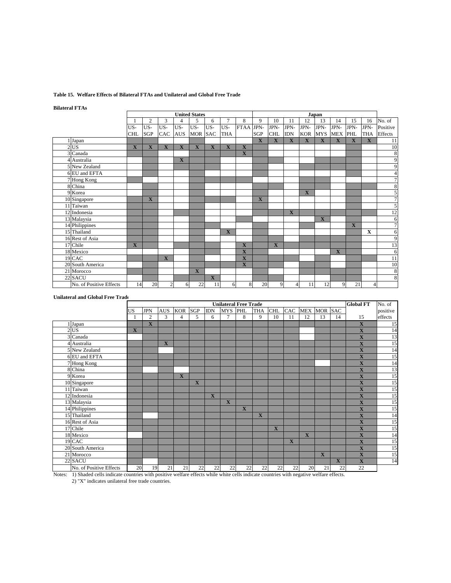#### **Table 15. Welfare Effects of Bilateral FTAs and Unilateral and Global Free Trade**

#### **Bilateral FTAs**

|                         |     | <b>United States</b>    |                |              |         |              |                |                         |              | Japan      |              |         |              |                |      |                |                |
|-------------------------|-----|-------------------------|----------------|--------------|---------|--------------|----------------|-------------------------|--------------|------------|--------------|---------|--------------|----------------|------|----------------|----------------|
|                         |     | $\overline{2}$          | 3              | 4            | 5       | 6            | $\overline{7}$ | 8                       | 9            | 10         | 11           | 12      | 13           | 14             | 15   | 16             | No. of         |
|                         | US- | US-                     | US-            | US-          | US-     | US-          | US-            | <b>FTAA</b>             | JPN-         | JPN-       | JPN-         | JPN-    | JPN-         | JPN-           | JPN- | JPN-           | Positive       |
|                         | CHL | <b>SGP</b>              | CAC            | <b>AUS</b>   | MOR SAC |              | <b>THA</b>     |                         | <b>SGP</b>   | <b>CHL</b> | <b>IDN</b>   | KOR MYS |              | <b>MEX PHL</b> |      |                | THA Effects    |
| 1 Japan                 |     |                         |                |              |         |              |                |                         | $\mathbf{X}$ | X          | X            | X       | X            | X              | X    | X              | 11             |
| $2$ US                  | X   | X                       | X              | $\mathbf{X}$ | X       | $\mathbf{X}$ | $\mathbf{X}$   | X                       |              |            |              |         |              |                |      |                | 10             |
| 3 Canada                |     |                         |                |              |         |              |                | $\overline{\mathbf{X}}$ |              |            |              |         |              |                |      |                | $\overline{8}$ |
| 4 Australia             |     |                         |                | $\mathbf{X}$ |         |              |                |                         |              |            |              |         |              |                |      |                | $\overline{9}$ |
| 5 New Zealand           |     |                         |                |              |         |              |                |                         |              |            |              |         |              |                |      |                | $\overline{9}$ |
| 6 EU and EFTA           |     |                         |                |              |         |              |                |                         |              |            |              |         |              |                |      |                | $\overline{4}$ |
| 7 Hong Kong             |     |                         |                |              |         |              |                |                         |              |            |              |         |              |                |      |                | $\overline{7}$ |
| 8 China                 |     |                         |                |              |         |              |                |                         |              |            |              |         |              |                |      |                | $\sqrt{8}$     |
| 9 Korea                 |     |                         |                |              |         |              |                |                         |              |            |              | X       |              |                |      |                | $\overline{5}$ |
| 10 Singapore            |     | $\overline{\mathbf{X}}$ |                |              |         |              |                |                         | $\mathbf{X}$ |            |              |         |              |                |      |                | $\overline{7}$ |
| 11 Taiwan               |     |                         |                |              |         |              |                |                         |              |            |              |         |              |                |      |                | $\overline{5}$ |
| 12 Indonesia            |     |                         |                |              |         |              |                |                         |              |            | $\mathbf{X}$ |         |              |                |      |                | 12             |
| 13 Malaysia             |     |                         |                |              |         |              |                |                         |              |            |              |         | $\mathbf{X}$ |                |      |                | 6              |
| 14 Philippines          |     |                         |                |              |         |              |                |                         |              |            |              |         |              |                | X    |                | $\overline{7}$ |
| 15 Thailand             |     |                         |                |              |         |              | $\mathbf X$    |                         |              |            |              |         |              |                |      | $\mathbf X$    | 6              |
| 16 Rest of Asia         |     |                         |                |              |         |              |                |                         |              |            |              |         |              |                |      |                | $\overline{9}$ |
| 17 Chile                | X   |                         |                |              |         |              |                | X                       |              | X          |              |         |              |                |      |                | 13             |
| 18 Mexico               |     |                         |                |              |         |              |                | X                       |              |            |              |         |              | X              |      |                | 6              |
| 19 CAC                  |     |                         | X              |              |         |              |                | X                       |              |            |              |         |              |                |      |                | 11             |
| 20 South America        |     |                         |                |              |         |              |                | X                       |              |            |              |         |              |                |      |                | $10\,$         |
| $\overline{21}$ Morocco |     |                         |                |              | X       |              |                |                         |              |            |              |         |              |                |      |                | $\overline{8}$ |
| 22 SACU                 |     |                         |                |              |         | X            |                |                         |              |            |              |         |              |                |      |                | $\overline{8}$ |
| No. of Positive Effects | 14  | 20                      | $\overline{2}$ | 6            | 22      | 11           | 6 <sup>1</sup> | 8 <sup>1</sup>          | 20           | 9          | $\vert$      | 11      | 12           | $\overline{9}$ | 21   | $\overline{4}$ |                |

#### **Unilateral and Global Free Trade**

|                         |              |                         |            |              |            |                         |              | <b>Unilateral Free Trade</b> |              |            |     |            |         |              | <b>Global FT</b>        | No. of          |
|-------------------------|--------------|-------------------------|------------|--------------|------------|-------------------------|--------------|------------------------------|--------------|------------|-----|------------|---------|--------------|-------------------------|-----------------|
|                         | <b>US</b>    | <b>JPN</b>              | <b>AUS</b> | <b>KOR</b>   | <b>SGP</b> | <b>IDN</b>              | <b>MYS</b>   | PHL                          | <b>THA</b>   | <b>CHL</b> | CAC | <b>MEX</b> | MOR SAC |              |                         | positive        |
|                         |              | $\overline{2}$          | 3          | 4            | 5          | 6                       | $\tau$       | 8                            | 9            | 10         | 11  | 12         | 13      | 14           | 15                      | effects         |
| Japan                   |              | $\overline{\mathbf{X}}$ |            |              |            |                         |              |                              |              |            |     |            |         |              | $\overline{\mathbf{X}}$ | 15              |
| $2$ US                  | $\mathbf{X}$ |                         |            |              |            |                         |              |                              |              |            |     |            |         |              | $\overline{\mathbf{X}}$ | 14              |
| 3 Canada                |              |                         |            |              |            |                         |              |                              |              |            |     |            |         |              | $\mathbf X$             | 13              |
| 4 Australia             |              |                         | X          |              |            |                         |              |                              |              |            |     |            |         |              | $\overline{\mathbf{X}}$ | 15              |
| 5 New Zealand           |              |                         |            |              |            |                         |              |                              |              |            |     |            |         |              | $\mathbf X$             | 14              |
| 6 EU and EFTA           |              |                         |            |              |            |                         |              |                              |              |            |     |            |         |              | $\overline{\mathbf{X}}$ | 15              |
| 7 Hong Kong             |              |                         |            |              |            |                         |              |                              |              |            |     |            |         |              | $\mathbf X$             | 14              |
| 8 China                 |              |                         |            |              |            |                         |              |                              |              |            |     |            |         |              | $\overline{\mathbf{X}}$ | 13              |
| 9 Korea                 |              |                         |            | $\mathbf{X}$ |            |                         |              |                              |              |            |     |            |         |              | $\overline{\mathbf{X}}$ | $\overline{15}$ |
| 10 Singapore            |              |                         |            |              | X          |                         |              |                              |              |            |     |            |         |              | $\overline{\mathbf{X}}$ | 15              |
| 11 Taiwan               |              |                         |            |              |            |                         |              |                              |              |            |     |            |         |              | $\mathbf X$             | 15              |
| 12 Indonesia            |              |                         |            |              |            | $\overline{\mathbf{X}}$ |              |                              |              |            |     |            |         |              | $\overline{\mathbf{X}}$ | 15              |
| 13 Malaysia             |              |                         |            |              |            |                         | $\mathbf{X}$ |                              |              |            |     |            |         |              | $\mathbf X$             | 15              |
| 14 Philippines          |              |                         |            |              |            |                         |              | $\overline{\mathbf{X}}$      |              |            |     |            |         |              | $\mathbf X$             | 15              |
| 15 Thailand             |              |                         |            |              |            |                         |              |                              | $\mathbf{X}$ |            |     |            |         |              | $\overline{\mathbf{X}}$ | 14              |
| 16 Rest of Asia         |              |                         |            |              |            |                         |              |                              |              |            |     |            |         |              | $\overline{\mathbf{X}}$ | 15              |
| 17 Chile                |              |                         |            |              |            |                         |              |                              |              | X          |     |            |         |              | $\overline{\mathbf{X}}$ | 15              |
| 18 Mexico               |              |                         |            |              |            |                         |              |                              |              |            |     | X          |         |              | $\mathbf X$             | 14              |
| 19 CAC                  |              |                         |            |              |            |                         |              |                              |              |            | X   |            |         |              | $\overline{\mathbf{X}}$ | 15              |
| 20 South America        |              |                         |            |              |            |                         |              |                              |              |            |     |            |         |              | $\mathbf X$             | 15              |
| 21 Morocco              |              |                         |            |              |            |                         |              |                              |              |            |     |            | X       |              | $\overline{\mathbf{X}}$ | 15              |
| 22 SACU                 |              |                         |            |              |            |                         |              |                              |              |            |     |            |         | $\mathbf{X}$ | $\overline{\mathbf{X}}$ | 14              |
| No. of Positive Effects | 20           | 19                      | 21         | 21           | 22         | 22                      | 22           | 22                           | 22           | 22         | 22  | 20         | 21      | 22           | 22                      |                 |

Notes: 1) Shaded cells indicate countries with positive welfare effects while white cells indicate countries with negative welfare effects.

2) "X" indicates unilateral free trade countries.